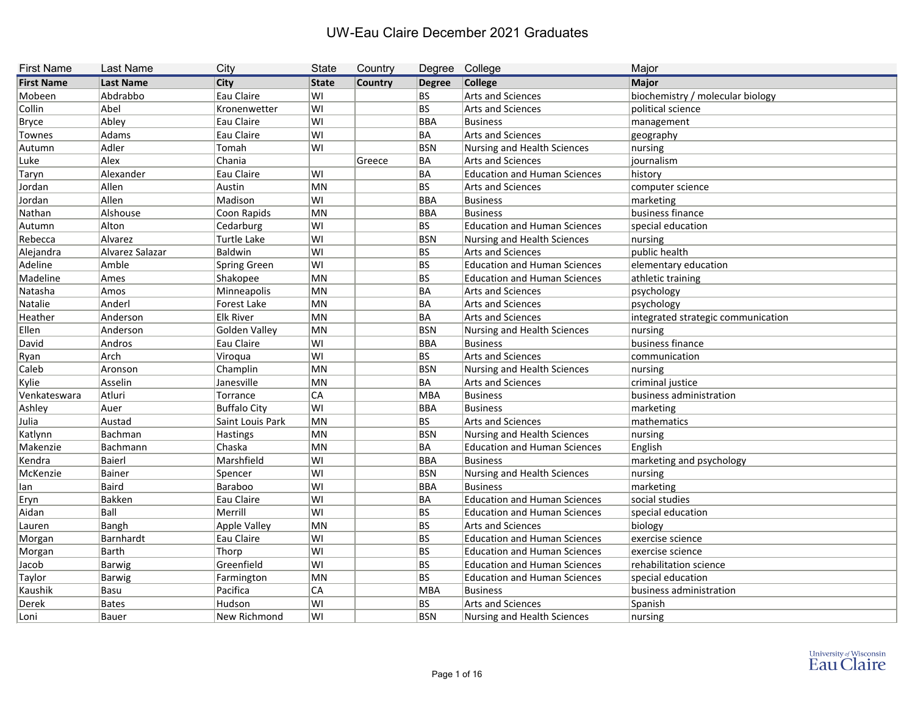| <b>First Name</b> | <b>Last Name</b> | City                | <b>State</b> | Country        | Degree College |                                     | Major                              |
|-------------------|------------------|---------------------|--------------|----------------|----------------|-------------------------------------|------------------------------------|
| <b>First Name</b> | <b>Last Name</b> | <b>City</b>         | <b>State</b> | <b>Country</b> | <b>Degree</b>  | College                             | Major                              |
| Mobeen            | Abdrabbo         | Eau Claire          | lwı          |                | BS             | <b>Arts and Sciences</b>            | biochemistry / molecular biology   |
| Collin            | Abel             | Kronenwetter        | WI           |                | BS             | <b>Arts and Sciences</b>            | political science                  |
| <b>Bryce</b>      | Abley            | Eau Claire          | lwı          |                | BBA            | <b>Business</b>                     | management                         |
| Townes            | Adams            | Eau Claire          | WI           |                | BA             | <b>Arts and Sciences</b>            | geography                          |
| Autumn            | Adler            | Tomah               | lwı          |                | <b>BSN</b>     | Nursing and Health Sciences         | nursing                            |
| Luke              | Alex             | Chania              |              | Greece         | BA             | <b>Arts and Sciences</b>            | journalism                         |
| Taryn             | Alexander        | Eau Claire          | lwı          |                | BA             | <b>Education and Human Sciences</b> | history                            |
| Jordan            | Allen            | Austin              | MN           |                | BS             | Arts and Sciences                   | computer science                   |
| Jordan            | Allen            | Madison             | WI           |                | BBA            | <b>Business</b>                     | marketing                          |
| Nathan            | Alshouse         | Coon Rapids         | MN           |                | BBA            | <b>Business</b>                     | business finance                   |
| Autumn            | Alton            | Cedarburg           | WI           |                | BS             | <b>Education and Human Sciences</b> | special education                  |
| Rebecca           | Alvarez          | <b>Turtle Lake</b>  | wı           |                | <b>BSN</b>     | <b>Nursing and Health Sciences</b>  | nursing                            |
| Alejandra         | Alvarez Salazar  | Baldwin             | WI           |                | BS             | <b>Arts and Sciences</b>            | public health                      |
| Adeline           | Amble            | <b>Spring Green</b> | WI           |                | BS             | <b>Education and Human Sciences</b> | elementary education               |
| Madeline          | Ames             | Shakopee            | MN           |                | BS             | <b>Education and Human Sciences</b> | athletic training                  |
| Natasha           | Amos             | Minneapolis         | MN           |                | BA             | <b>Arts and Sciences</b>            | psychology                         |
| Natalie           | Anderl           | Forest Lake         | MN           |                | BA             | <b>Arts and Sciences</b>            | psychology                         |
| Heather           | Anderson         | <b>Elk River</b>    | MN           |                | BA             | <b>Arts and Sciences</b>            | integrated strategic communication |
| Ellen             | Anderson         | Golden Valley       | MN           |                | BSN            | Nursing and Health Sciences         | nursing                            |
| David             | Andros           | Eau Claire          | WI           |                | BBA            | <b>Business</b>                     | business finance                   |
| Ryan              | Arch             | Viroqua             | WI           |                | BS             | Arts and Sciences                   | communication                      |
| Caleb             | Aronson          | Champlin            | MN           |                | <b>BSN</b>     | Nursing and Health Sciences         | nursing                            |
| Kylie             | Asselin          | Janesville          | MN           |                | BA             | <b>Arts and Sciences</b>            | criminal justice                   |
| Venkateswara      | Atluri           | Torrance            | <b>CA</b>    |                | MBA            | <b>Business</b>                     | business administration            |
| Ashley            | Auer             | <b>Buffalo City</b> | WI           |                | BBA            | <b>Business</b>                     | marketing                          |
| Julia             | Austad           | Saint Louis Park    | MN           |                | BS             | <b>Arts and Sciences</b>            | mathematics                        |
| Katlynn           | Bachman          | Hastings            | MN           |                | <b>BSN</b>     | Nursing and Health Sciences         | nursing                            |
| Makenzie          | Bachmann         | Chaska              | MN           |                | BA             | <b>Education and Human Sciences</b> | English                            |
| Kendra            | Baierl           | Marshfield          | lwı          |                | BBA            | <b>Business</b>                     | marketing and psychology           |
| McKenzie          | Bainer           | Spencer             | WI           |                | BSN            | Nursing and Health Sciences         | nursing                            |
| lan               | <b>Baird</b>     | Baraboo             | lwı          |                | <b>BBA</b>     | <b>Business</b>                     | marketing                          |
| <b>Eryn</b>       | Bakken           | Eau Claire          | WI           |                | BA             | <b>Education and Human Sciences</b> | social studies                     |
| Aidan             | Ball             | Merrill             | WI           |                | BS             | <b>Education and Human Sciences</b> | special education                  |
| Lauren            | Bangh            | Apple Valley        | MN           |                | BS             | Arts and Sciences                   | biology                            |
| Morgan            | Barnhardt        | Eau Claire          | WI           |                | BS             | <b>Education and Human Sciences</b> | exercise science                   |
| Morgan            | Barth            | Thorp               | WI           |                | BS             | <b>Education and Human Sciences</b> | exercise science                   |
| Jacob             | Barwig           | Greenfield          | WI           |                | BS             | <b>Education and Human Sciences</b> | rehabilitation science             |
| Taylor            | <b>Barwig</b>    | Farmington          | MN           |                | BS             | <b>Education and Human Sciences</b> | special education                  |
| Kaushik           | Basu             | Pacifica            | CA           |                | MBA            | <b>Business</b>                     | business administration            |
| Derek             | <b>Bates</b>     | Hudson              | lwı          |                | BS             | Arts and Sciences                   | Spanish                            |
| Loni              | Bauer            | New Richmond        | WI           |                | <b>BSN</b>     | Nursing and Health Sciences         | nursing                            |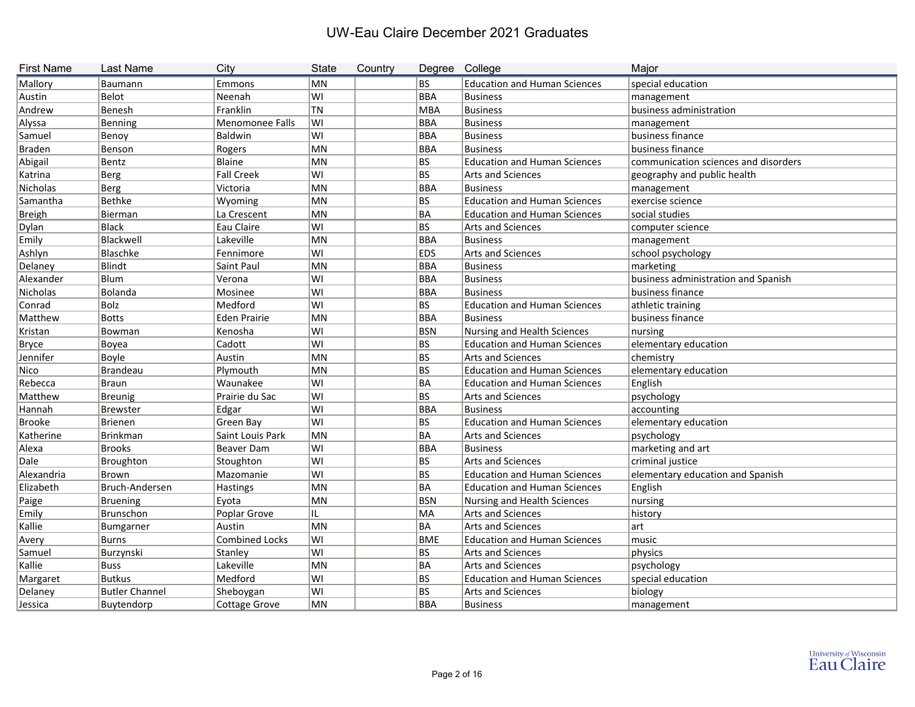| <b>First Name</b> | <b>Last Name</b>      | City                  | <b>State</b> | Country | Degree College |                                     | Major                                |
|-------------------|-----------------------|-----------------------|--------------|---------|----------------|-------------------------------------|--------------------------------------|
| Mallory           | Baumann               | Emmons                | MN           |         | BS.            | <b>Education and Human Sciences</b> | special education                    |
| Austin            | <b>Belot</b>          | Neenah                | WI           |         | BBA            | Business                            | management                           |
| Andrew            | Benesh                | Franklin              | TN           |         | MBA            | Business                            | business administration              |
| Alyssa            | Benning               | Menomonee Falls       | WI           |         | <b>BBA</b>     | Business                            | management                           |
| Samuel            | Benoy                 | Baldwin               | lwı          |         | <b>BBA</b>     | Business                            | business finance                     |
| <b>Braden</b>     | Benson                | Rogers                | MN           |         | BBA            | Business                            | business finance                     |
| Abigail           | Bentz                 | Blaine                | MN           |         | BS             | <b>Education and Human Sciences</b> | communication sciences and disorders |
| Katrina           | <b>Berg</b>           | <b>Fall Creek</b>     | WI           |         | <b>BS</b>      | <b>Arts and Sciences</b>            | geography and public health          |
| Nicholas          | <b>Berg</b>           | Victoria              | MN           |         | BBA            | Business                            | management                           |
| Samantha          | <b>Bethke</b>         | Wyoming               | MN           |         | <b>BS</b>      | <b>Education and Human Sciences</b> | exercise science                     |
| <b>Breigh</b>     | Bierman               | La Crescent           | MN           |         | ∣BA            | <b>Education and Human Sciences</b> | social studies                       |
| Dylan             | <b>Black</b>          | Eau Claire            | WI           |         | <b>BS</b>      | Arts and Sciences                   | computer science                     |
| Emily             | Blackwell             | Lakeville             | MN           |         | BBA            | Business                            | management                           |
| Ashlyn            | Blaschke              | Fennimore             | WI           |         | <b>EDS</b>     | Arts and Sciences                   | school psychology                    |
| Delaney           | Blindt                | Saint Paul            | MN           |         | <b>BBA</b>     | Business                            | marketing                            |
| Alexander         | Blum                  | Verona                | WI           |         | <b>BBA</b>     | Business                            | business administration and Spanish  |
| <b>Nicholas</b>   | Bolanda               | Mosinee               | WI           |         | BBA            | Business                            | business finance                     |
| Conrad            | Bolz                  | Medford               | lwı          |         | BS             | <b>Education and Human Sciences</b> | athletic training                    |
| Matthew           | <b>Botts</b>          | Eden Prairie          | MN           |         | <b>BBA</b>     | Business                            | business finance                     |
| Kristan           | Bowman                | Kenosha               | WI           |         | BSN            | Nursing and Health Sciences         | nursing                              |
| <b>Bryce</b>      | Boyea                 | Cadott                | WI           |         | BS             | <b>Education and Human Sciences</b> | elementary education                 |
| Jennifer          | Boyle                 | Austin                | MN           |         | BS             | Arts and Sciences                   | chemistry                            |
| Nico              | <b>Brandeau</b>       | Plymouth              | MN           |         | BS             | <b>Education and Human Sciences</b> | elementary education                 |
| Rebecca           | <b>Braun</b>          | Waunakee              | WI           |         | ∣BA            | <b>Education and Human Sciences</b> | English                              |
| Matthew           | Breunig               | Prairie du Sac        | lwı          |         | BS             | Arts and Sciences                   | psychology                           |
| Hannah            | <b>Brewster</b>       | Edgar                 | WI           |         | BBA            | Business                            | accounting                           |
| <b>Brooke</b>     | <b>Brienen</b>        | Green Bay             | lwı          |         | BS             | <b>Education and Human Sciences</b> | elementary education                 |
| Katherine         | <b>Brinkman</b>       | Saint Louis Park      | MN           |         | ∣BA            | Arts and Sciences                   | psychology                           |
| Alexa             | <b>Brooks</b>         | Beaver Dam            | lwı          |         | <b>BBA</b>     | <b>Business</b>                     | marketing and art                    |
| Dale              | Broughton             | Stoughton             | WI           |         | BS             | Arts and Sciences                   | criminal justice                     |
| Alexandria        | <b>Brown</b>          | Mazomanie             | WI           |         | BS             | <b>Education and Human Sciences</b> | elementary education and Spanish     |
| Elizabeth         | Bruch-Andersen        | <b>Hastings</b>       | MN           |         | BA             | <b>Education and Human Sciences</b> | English                              |
| Paige             | <b>Bruening</b>       | Eyota                 | MN           |         | BSN            | Nursing and Health Sciences         | nursing                              |
| Emily             | Brunschon             | Poplar Grove          | IL           |         | MA             | Arts and Sciences                   | history                              |
| Kallie            | Bumgarner             | Austin                | MN           |         | BA             | Arts and Sciences                   | art                                  |
| Avery             | <b>Burns</b>          | <b>Combined Locks</b> | WI           |         | BME            | <b>Education and Human Sciences</b> | music                                |
| Samuel            | Burzynski             | Stanley               | WI           |         | BS             | Arts and Sciences                   | physics                              |
| Kallie            | <b>Buss</b>           | Lakeville             | MN           |         | BA             | Arts and Sciences                   | psychology                           |
| Margaret          | <b>Butkus</b>         | Medford               | WI           |         | BS             | <b>Education and Human Sciences</b> | special education                    |
| Delaney           | <b>Butler Channel</b> | Sheboygan             | WI           |         | BS             | Arts and Sciences                   | biology                              |
| Jessica           | Buytendorp            | Cottage Grove         | MN           |         | BBA            | Business                            | management                           |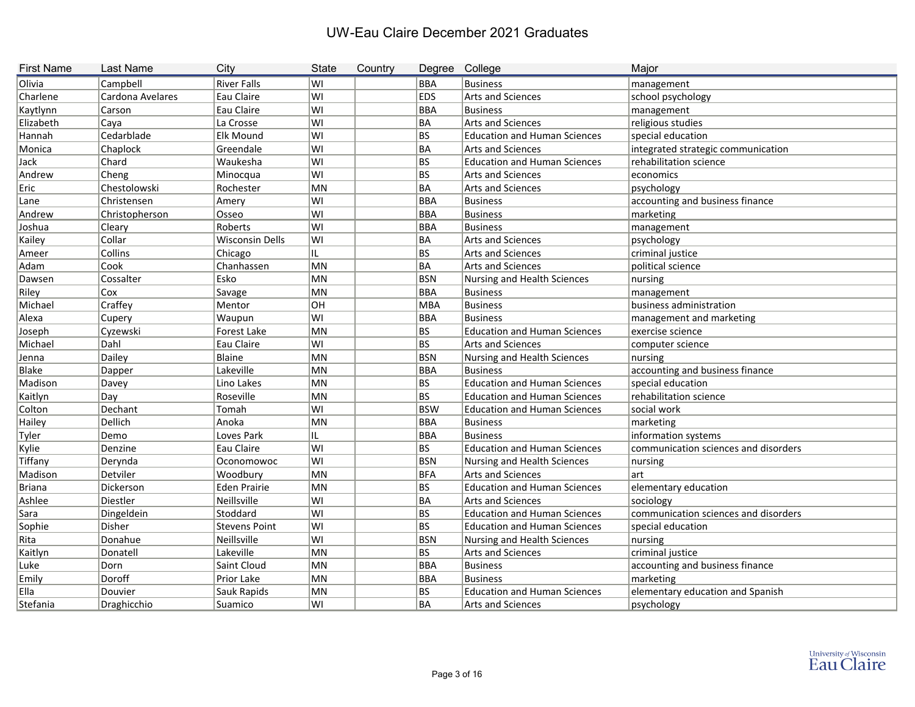| <b>First Name</b> | Last Name        | City                   | <b>State</b> | Country | Degree College |                                     | Major                                |
|-------------------|------------------|------------------------|--------------|---------|----------------|-------------------------------------|--------------------------------------|
| Olivia            | Campbell         | <b>River Falls</b>     | lwı          |         | <b>BBA</b>     | <b>Business</b>                     | management                           |
| Charlene          | Cardona Avelares | Eau Claire             | ∣wı          |         | <b>EDS</b>     | <b>Arts and Sciences</b>            | school psychology                    |
| Kaytlynn          | Carson           | Eau Claire             | lwı          |         | BBA            | <b>Business</b>                     | management                           |
| Elizabeth         | Caya             | La Crosse              | lwı          |         | BA             | <b>Arts and Sciences</b>            | religious studies                    |
| Hannah            | Cedarblade       | <b>Elk Mound</b>       | ∣wı          |         | BS             | <b>Education and Human Sciences</b> | special education                    |
| Monica            | Chaplock         | Greendale              | lwı          |         | BA             | <b>Arts and Sciences</b>            | integrated strategic communication   |
| Jack              | Chard            | Waukesha               | ∣wı          |         | BS             | <b>Education and Human Sciences</b> | rehabilitation science               |
| Andrew            | Cheng            | Minocqua               | lwı          |         | BS             | <b>Arts and Sciences</b>            | economics                            |
| Eric              | Chestolowski     | Rochester              | MN           |         | BA             | <b>Arts and Sciences</b>            | psychology                           |
| Lane              | Christensen      | Amery                  | lwı          |         | BBA            | <b>Business</b>                     | accounting and business finance      |
| Andrew            | Christopherson   | Osseo                  | lwı          |         | BBA            | <b>Business</b>                     | marketing                            |
| Joshua            | Cleary           | Roberts                | ∣wı          |         | BBA            | <b>Business</b>                     | management                           |
| Kailey            | Collar           | <b>Wisconsin Dells</b> | lwı          |         | BA             | <b>Arts and Sciences</b>            | psychology                           |
| Ameer             | Collins          | Chicago                | IL.          |         | BS             | <b>Arts and Sciences</b>            | criminal justice                     |
| Adam              | Cook             | Chanhassen             | MN           |         | BA             | <b>Arts and Sciences</b>            | political science                    |
| Dawsen            | Cossalter        | Esko                   | MN           |         | BSN            | Nursing and Health Sciences         | nursing                              |
| Riley             | Cox              | Savage                 | MN           |         | BBA            | <b>Business</b>                     | management                           |
| Michael           | Craffey          | Mentor                 | lон          |         | MBA            | <b>Business</b>                     | business administration              |
| Alexa             | Cupery           | Waupun                 | lwı          |         | BBA            | <b>Business</b>                     | management and marketing             |
| Joseph            | Cyzewski         | Forest Lake            | MN           |         | BS             | <b>Education and Human Sciences</b> | exercise science                     |
| Michael           | Dahl             | Eau Claire             | lwı          |         | BS             | <b>Arts and Sciences</b>            | computer science                     |
| Jenna             | Dailey           | Blaine                 | MN           |         | <b>BSN</b>     | <b>Nursing and Health Sciences</b>  | nursing                              |
| <b>Blake</b>      | Dapper           | Lakeville              | MN           |         | BBA            | <b>Business</b>                     | accounting and business finance      |
| Madison           | Davey            | Lino Lakes             | MN           |         | BS             | <b>Education and Human Sciences</b> | special education                    |
| Kaitlyn           | Day              | Roseville              | MN           |         | BS             | <b>Education and Human Sciences</b> | rehabilitation science               |
| Colton            | Dechant          | Tomah                  | lwı          |         | <b>BSW</b>     | <b>Education and Human Sciences</b> | social work                          |
| Hailey            | Dellich          | Anoka                  | MN           |         | BBA            | <b>Business</b>                     | marketing                            |
| Tyler             | Demo             | Loves Park             | IL.          |         | BBA            | <b>Business</b>                     | information systems                  |
| Kylie             | Denzine          | Eau Claire             | lwı          |         | BS             | <b>Education and Human Sciences</b> | communication sciences and disorders |
| Tiffany           | Derynda          | Oconomowoc             | ∣wı          |         | BSN            | <b>Nursing and Health Sciences</b>  | nursing                              |
| Madison           | Detviler         | Woodbury               | MN           |         | <b>BFA</b>     | <b>Arts and Sciences</b>            | lart                                 |
| <b>Briana</b>     | Dickerson        | <b>Eden Prairie</b>    | MN           |         | BS             | <b>Education and Human Sciences</b> | elementary education                 |
| Ashlee            | Diestler         | Neillsville            | ∣WI          |         | BA             | Arts and Sciences                   | sociology                            |
| Sara              | Dingeldein       | Stoddard               | lWI          |         | BS             | <b>Education and Human Sciences</b> | communication sciences and disorders |
| Sophie            | Disher           | <b>Stevens Point</b>   | WI           |         | BS             | <b>Education and Human Sciences</b> | special education                    |
| Rita              | Donahue          | Neillsville            | lwı          |         | <b>BSN</b>     | Nursing and Health Sciences         | nursing                              |
| Kaitlyn           | Donatell         | Lakeville              | MN           |         | BS             | Arts and Sciences                   | criminal justice                     |
| Luke              | Dorn             | Saint Cloud            | MN           |         | BBA            | <b>Business</b>                     | accounting and business finance      |
| Emily             | Doroff           | Prior Lake             | MN           |         | BBA            | <b>Business</b>                     | marketing                            |
| Ella              | Douvier          | Sauk Rapids            | MN           |         | BS             | <b>Education and Human Sciences</b> | elementary education and Spanish     |
| Stefania          | Draghicchio      | Suamico                | ∣WI          |         | BA             | Arts and Sciences                   | psychology                           |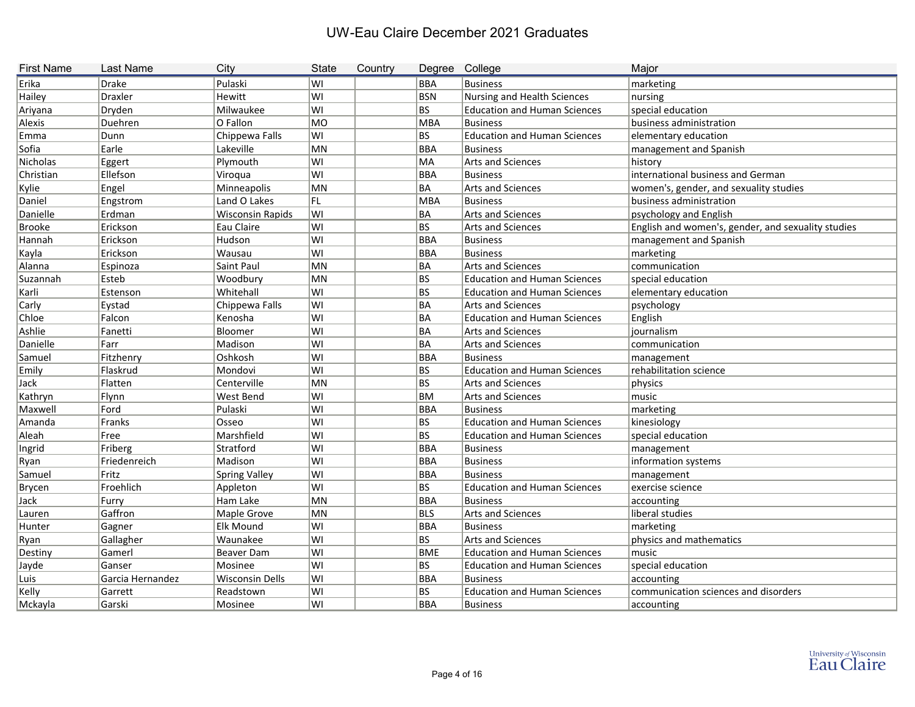| <b>First Name</b> | <b>Last Name</b> | City                    | <b>State</b> | Country |            | Degree College                      | Major                                              |
|-------------------|------------------|-------------------------|--------------|---------|------------|-------------------------------------|----------------------------------------------------|
| Erika             | <b>Drake</b>     | Pulaski                 | WI           |         | <b>BBA</b> | <b>Business</b>                     | marketing                                          |
| Hailey            | Draxler          | Hewitt                  | WI           |         | <b>BSN</b> | Nursing and Health Sciences         | nursing                                            |
| Ariyana           | Dryden           | Milwaukee               | WI           |         | <b>BS</b>  | <b>Education and Human Sciences</b> | special education                                  |
| Alexis            | Duehren          | O Fallon                | MO           |         | <b>MBA</b> | Business                            | business administration                            |
| Emma              | Dunn             | Chippewa Falls          | WI           |         | <b>BS</b>  | <b>Education and Human Sciences</b> | elementary education                               |
| Sofia             | Earle            | Lakeville               | MN           |         | <b>BBA</b> | Business                            | management and Spanish                             |
| Nicholas          | Eggert           | Plymouth                | WI           |         | MA         | Arts and Sciences                   | history                                            |
| Christian         | Ellefson         | Viroqua                 | lwı          |         | <b>BBA</b> | <b>Business</b>                     | international business and German                  |
| Kylie             | Engel            | Minneapolis             | MN           |         | <b>BA</b>  | Arts and Sciences                   | women's, gender, and sexuality studies             |
| Daniel            | Engstrom         | Land O Lakes            | FL.          |         | <b>MBA</b> | Business                            | business administration                            |
| Danielle          | Erdman           | <b>Wisconsin Rapids</b> | WI           |         | <b>BA</b>  | Arts and Sciences                   | psychology and English                             |
| <b>Brooke</b>     | Erickson         | Eau Claire              | WI           |         | <b>BS</b>  | Arts and Sciences                   | English and women's, gender, and sexuality studies |
| Hannah            | Erickson         | Hudson                  | lwı          |         | <b>BBA</b> | Business                            | management and Spanish                             |
| Kayla             | Erickson         | Wausau                  | lwı          |         | <b>BBA</b> | Business                            | marketing                                          |
| Alanna            | Espinoza         | Saint Paul              | MN           |         | <b>BA</b>  | Arts and Sciences                   | communication                                      |
| Suzannah          | Esteb            | Woodbury                | MN           |         | <b>BS</b>  | <b>Education and Human Sciences</b> | special education                                  |
| Karli             | Estenson         | Whitehall               | WI           |         | <b>BS</b>  | <b>Education and Human Sciences</b> | elementary education                               |
| Carly             | Eystad           | Chippewa Falls          | lwı          |         | BA         | Arts and Sciences                   | psychology                                         |
| Chloe             | Falcon           | Kenosha                 | lwı          |         | BA         | <b>Education and Human Sciences</b> | English                                            |
| Ashlie            | Fanetti          | Bloomer                 | WI           |         | <b>BA</b>  | Arts and Sciences                   | journalism                                         |
| Danielle          | Farr             | Madison                 | WI           |         | <b>BA</b>  | Arts and Sciences                   | communication                                      |
| Samuel            | Fitzhenry        | Oshkosh                 | lwı          |         | <b>BBA</b> | Business                            | management                                         |
| Emily             | Flaskrud         | Mondovi                 | lwı          |         | <b>BS</b>  | <b>Education and Human Sciences</b> | rehabilitation science                             |
| Jack              | Flatten          | Centerville             | MN           |         | <b>BS</b>  | Arts and Sciences                   | physics                                            |
| Kathryn           | Flynn            | West Bend               | WI           |         | <b>BM</b>  | Arts and Sciences                   | music                                              |
| Maxwell           | Ford             | Pulaski                 | lwı          |         | <b>BBA</b> | Business                            | marketing                                          |
| Amanda            | Franks           | Osseo                   | lwı          |         | <b>BS</b>  | <b>Education and Human Sciences</b> | kinesiology                                        |
| Aleah             | Free             | Marshfield              | lwı          |         | BS         | <b>Education and Human Sciences</b> | special education                                  |
| Ingrid            | Friberg          | Stratford               | lwı          |         | <b>BBA</b> | Business                            | management                                         |
| Ryan              | Friedenreich     | Madison                 | lwı          |         | <b>BBA</b> | Business                            | information systems                                |
| Samuel            | Fritz            | <b>Spring Valley</b>    | WI           |         | <b>BBA</b> | Business                            | management                                         |
| Brycen            | Froehlich        | Appleton                | lwı          |         | <b>BS</b>  | <b>Education and Human Sciences</b> | exercise science                                   |
| Jack              | <b>Furry</b>     | Ham Lake                | MN           |         | <b>BBA</b> | Business                            | accounting                                         |
| Lauren            | Gaffron          | Maple Grove             | MN           |         | <b>BLS</b> | Arts and Sciences                   | liberal studies                                    |
| Hunter            | Gagner           | <b>Elk Mound</b>        | WI           |         | <b>BBA</b> | Business                            | marketing                                          |
| Ryan              | Gallagher        | Waunakee                | WI           |         | <b>BS</b>  | Arts and Sciences                   | physics and mathematics                            |
| Destiny           | Gamerl           | Beaver Dam              | WI           |         | <b>BME</b> | <b>Education and Human Sciences</b> | $\sf music$                                        |
| Jayde             | Ganser           | Mosinee                 | WI           |         | BS.        | <b>Education and Human Sciences</b> | special education                                  |
| Luis              | Garcia Hernandez | Wisconsin Dells         | WI           |         | <b>BBA</b> | <b>Business</b>                     | accounting                                         |
| Kelly             | Garrett          | Readstown               | WI           |         | BS         | <b>Education and Human Sciences</b> | communication sciences and disorders               |
| Mckayla           | Garski           | Mosinee                 | WI           |         | BBA        | <b>Business</b>                     | accounting                                         |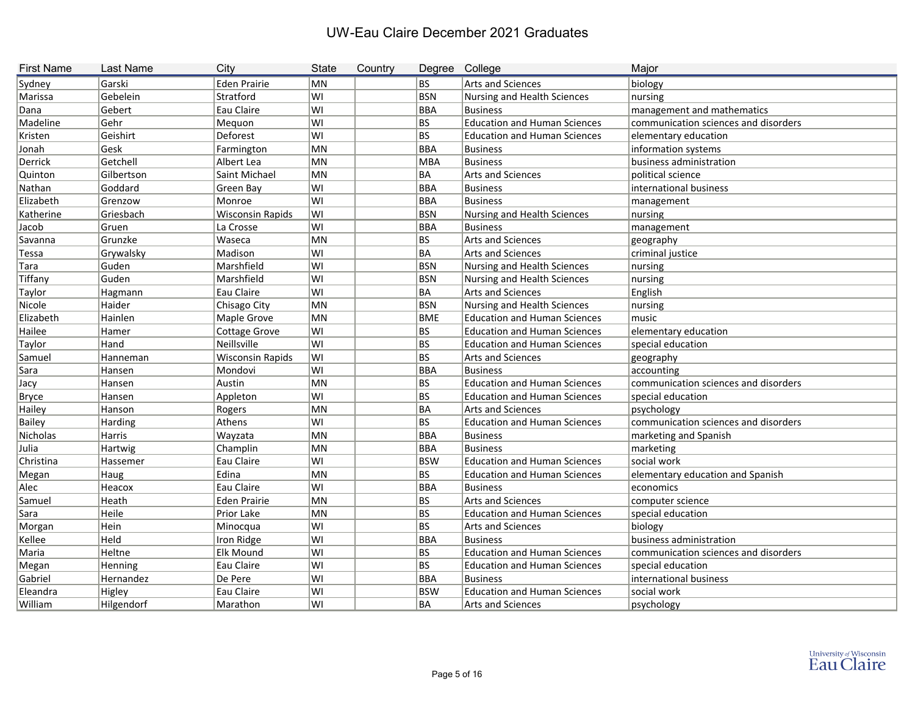| <b>First Name</b> | <b>Last Name</b> | City                    | <b>State</b> | Country | Degree College |                                     | Major                                |
|-------------------|------------------|-------------------------|--------------|---------|----------------|-------------------------------------|--------------------------------------|
| Sydney            | Garski           | <b>Eden Prairie</b>     | MN           |         | BS             | Arts and Sciences                   | biology                              |
| Marissa           | Gebelein         | Stratford               | WI           |         | <b>BSN</b>     | Nursing and Health Sciences         | nursing                              |
| Dana              | Gebert           | Eau Claire              | WI           |         | BBA            | <b>Business</b>                     | management and mathematics           |
| Madeline          | Gehr             | Mequon                  | lwı          |         | BS             | <b>Education and Human Sciences</b> | communication sciences and disorders |
| Kristen           | Geishirt         | Deforest                | lwı          |         | BS             | <b>Education and Human Sciences</b> | elementary education                 |
| Jonah             | Gesk             | Farmington              | MN           |         | BBA            | <b>Business</b>                     | information systems                  |
| Derrick           | Getchell         | Albert Lea              | MN           |         | MBA            | <b>Business</b>                     | business administration              |
| Quinton           | Gilbertson       | Saint Michael           | MN           |         | BA             | Arts and Sciences                   | political science                    |
| Nathan            | Goddard          | Green Bay               | lwı          |         | BBA            | <b>Business</b>                     | international business               |
| Elizabeth         | Grenzow          | Monroe                  | lwı          |         | <b>BBA</b>     | <b>Business</b>                     | management                           |
| Katherine         | Griesbach        | <b>Wisconsin Rapids</b> | ∣wı          |         | <b>BSN</b>     | Nursing and Health Sciences         | nursing                              |
| Jacob             | Gruen            | La Crosse               | WI           |         | BBA            | <b>Business</b>                     | management                           |
| Savanna           | Grunzke          | Waseca                  | MN           |         | BS             | Arts and Sciences                   | geography                            |
| Tessa             | Grywalsky        | Madison                 | ∣WI          |         | BA             | <b>Arts and Sciences</b>            | criminal justice                     |
| Tara              | Guden            | Marshfield              | WI           |         | <b>BSN</b>     | <b>Nursing and Health Sciences</b>  | nursing                              |
| Tiffany           | Guden            | Marshfield              | WI           |         | BSN            | Nursing and Health Sciences         | nursing                              |
| Taylor            | Hagmann          | Eau Claire              | lwı          |         | BA             | <b>Arts and Sciences</b>            | English                              |
| Nicole            | Haider           | Chisago City            | MN           |         | <b>BSN</b>     | Nursing and Health Sciences         | nursing                              |
| Elizabeth         | Hainlen          | Maple Grove             | MN           |         | <b>BME</b>     | <b>Education and Human Sciences</b> | music                                |
| Hailee            | Hamer            | <b>Cottage Grove</b>    | WI           |         | BS             | <b>Education and Human Sciences</b> | elementary education                 |
| Taylor            | Hand             | Neillsville             | WI           |         | BS             | <b>Education and Human Sciences</b> | special education                    |
| Samuel            | Hanneman         | <b>Wisconsin Rapids</b> | WI           |         | BS             | Arts and Sciences                   | geography                            |
| Sara              | Hansen           | Mondovi                 | lwı          |         | BBA            | <b>Business</b>                     | accounting                           |
| Jacy              | Hansen           | Austin                  | MN           |         | BS             | <b>Education and Human Sciences</b> | communication sciences and disorders |
| <b>Bryce</b>      | Hansen           | Appleton                | WI           |         | BS             | <b>Education and Human Sciences</b> | special education                    |
| Hailey            | Hanson           | Rogers                  | MN           |         | BA             | Arts and Sciences                   | psychology                           |
| <b>Bailey</b>     | Harding          | Athens                  | WI           |         | BS             | <b>Education and Human Sciences</b> | communication sciences and disorders |
| Nicholas          | Harris           | Wayzata                 | MN           |         | BBA            | <b>Business</b>                     | marketing and Spanish                |
| Julia             | Hartwig          | Champlin                | MN           |         | BBA            | <b>Business</b>                     | marketing                            |
| Christina         | Hassemer         | Eau Claire              | WI           |         | <b>BSW</b>     | <b>Education and Human Sciences</b> | social work                          |
| Megan             | Haug             | Edina                   | MN           |         | BS             | <b>Education and Human Sciences</b> | elementary education and Spanish     |
| Alec              | Heacox           | Eau Claire              | lwı          |         | <b>BBA</b>     | <b>Business</b>                     | economics                            |
| Samuel            | Heath            | Eden Prairie            | MN           |         | BS             | <b>Arts and Sciences</b>            | computer science                     |
| Sara              | Heile            | Prior Lake              | MN           |         | BS             | <b>Education and Human Sciences</b> | special education                    |
| Morgan            | Hein             | Minocqua                | WI           |         | <b>BS</b>      | Arts and Sciences                   | biology                              |
| Kellee            | Held             | Iron Ridge              | WI           |         | <b>BBA</b>     | <b>Business</b>                     | business administration              |
| Maria             | Heltne           | <b>Elk Mound</b>        | WI           |         | BS             | <b>Education and Human Sciences</b> | communication sciences and disorders |
| Megan             | Henning          | Eau Claire              | WI           |         | <b>BS</b>      | <b>Education and Human Sciences</b> | special education                    |
| Gabriel           | Hernandez        | De Pere                 | WI           |         | BBA            | <b>Business</b>                     | international business               |
| Eleandra          | Higley           | Eau Claire              | WI           |         | <b>BSW</b>     | <b>Education and Human Sciences</b> | social work                          |
| William           | Hilgendorf       | Marathon                | WI           |         | BA             | Arts and Sciences                   | psychology                           |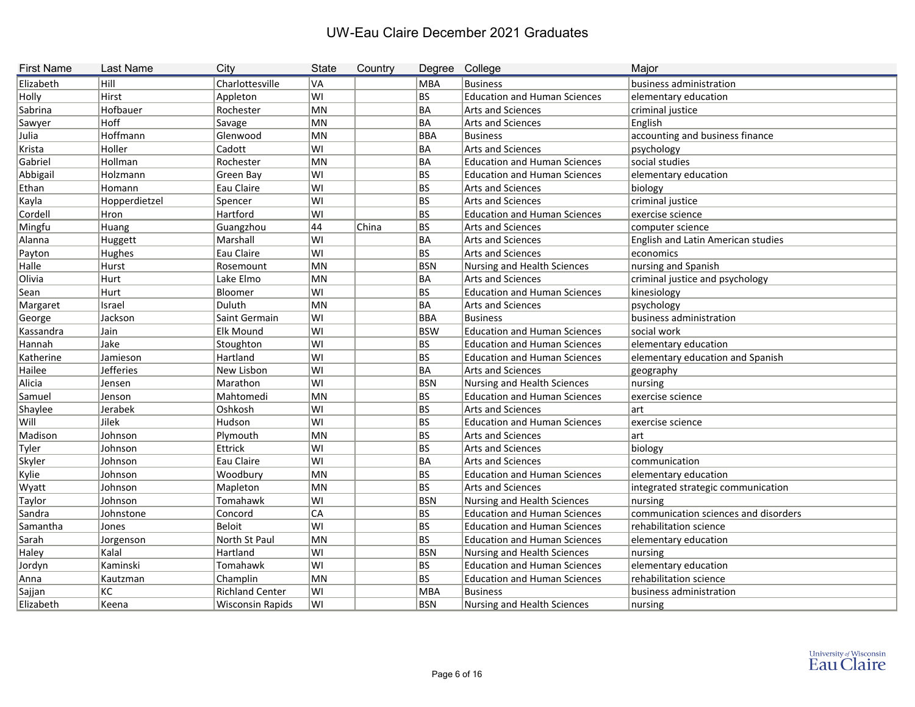| <b>First Name</b> | <b>Last Name</b> | City                    | <b>State</b> | Country | Degree College |                                     | Major                                |
|-------------------|------------------|-------------------------|--------------|---------|----------------|-------------------------------------|--------------------------------------|
| Elizabeth         | Hill             | Charlottesville         | VA           |         | MBA            | <b>Business</b>                     | business administration              |
| Holly             | Hirst            | Appleton                | lwı          |         | BS             | <b>Education and Human Sciences</b> | elementary education                 |
| Sabrina           | Hofbauer         | Rochester               | MN           |         | BA             | <b>Arts and Sciences</b>            | criminal justice                     |
| Sawyer            | Hoff             | Savage                  | MN           |         | BA             | <b>Arts and Sciences</b>            | English                              |
| Julia             | Hoffmann         | Glenwood                | MN           |         | BBA            | <b>Business</b>                     | accounting and business finance      |
| Krista            | Holler           | Cadott                  | lwı          |         | BA             | <b>Arts and Sciences</b>            | psychology                           |
| Gabriel           | Hollman          | Rochester               | MN           |         | BA             | <b>Education and Human Sciences</b> | social studies                       |
| Abbigail          | Holzmann         | Green Bay               | lwı          |         | BS             | <b>Education and Human Sciences</b> | elementary education                 |
| Ethan             | Homann           | Eau Claire              | lwı          |         | BS             | <b>Arts and Sciences</b>            | biology                              |
| Kayla             | Hopperdietzel    | Spencer                 | ∣wı          |         | BS             | <b>Arts and Sciences</b>            | criminal justice                     |
| Cordell           | Hron             | Hartford                | lwı          |         | BS             | <b>Education and Human Sciences</b> | exercise science                     |
| Mingfu            | Huang            | Guangzhou               | 44           | China   | BS             | <b>Arts and Sciences</b>            | computer science                     |
| Alanna            | Huggett          | Marshall                | lwı          |         | BA             | <b>Arts and Sciences</b>            | English and Latin American studies   |
| Payton            | Hughes           | Eau Claire              | lwı          |         | BS             | <b>Arts and Sciences</b>            | economics                            |
| Halle             | Hurst            | Rosemount               | MN           |         | <b>BSN</b>     | Nursing and Health Sciences         | nursing and Spanish                  |
| Olivia            | Hurt             | Lake Elmo               | MN           |         | BA             | <b>Arts and Sciences</b>            | criminal justice and psychology      |
| Sean              | Hurt             | Bloomer                 | lwı          |         | BS             | <b>Education and Human Sciences</b> | kinesiology                          |
| Margaret          | Israel           | Duluth                  | MN           |         | BA             | Arts and Sciences                   | psychology                           |
| George            | Jackson          | Saint Germain           | lwı          |         | BBA            | <b>Business</b>                     | business administration              |
| Kassandra         | Jain             | <b>Elk Mound</b>        | lwı          |         | <b>BSW</b>     | <b>Education and Human Sciences</b> | social work                          |
| Hannah            | Jake             | Stoughton               | lwı          |         | BS             | <b>Education and Human Sciences</b> | elementary education                 |
| Katherine         | Jamieson         | Hartland                | ∣wı          |         | BS             | <b>Education and Human Sciences</b> | elementary education and Spanish     |
| Hailee            | <b>Jefferies</b> | New Lisbon              | ∣wı          |         | BA             | <b>Arts and Sciences</b>            | geography                            |
| Alicia            | Jensen           | Marathon                | lwı          |         | BSN            | Nursing and Health Sciences         | nursing                              |
| Samuel            | Jenson           | Mahtomedi               | MN           |         | BS             | <b>Education and Human Sciences</b> | exercise science                     |
| Shaylee           | Jerabek          | Oshkosh                 | lwı          |         | BS             | <b>Arts and Sciences</b>            | art                                  |
| Will              | Jilek            | Hudson                  | lwı          |         | BS             | <b>Education and Human Sciences</b> | exercise science                     |
| Madison           | Johnson          | Plymouth                | MN           |         | BS             | <b>Arts and Sciences</b>            | art                                  |
| Tyler             | Johnson          | Ettrick                 | lwı          |         | BS             | <b>Arts and Sciences</b>            | biology                              |
| Skyler            | Johnson          | Eau Claire              | lwı          |         | BA             | <b>Arts and Sciences</b>            | communication                        |
| Kylie             | Johnson          | Woodbury                | MN           |         | BS             | <b>Education and Human Sciences</b> | elementary education                 |
| Wyatt             | Johnson          | Mapleton                | MN           |         | <b>BS</b>      | <b>Arts and Sciences</b>            | integrated strategic communication   |
| Taylor            | Johnson          | Tomahawk                | WI           |         | <b>BSN</b>     | Nursing and Health Sciences         | nursing                              |
| Sandra            | Johnstone        | Concord                 | CA           |         | BS.            | <b>Education and Human Sciences</b> | communication sciences and disorders |
| Samantha          | Jones            | Beloit                  | WI           |         | BS             | <b>Education and Human Sciences</b> | rehabilitation science               |
| Sarah             | Jorgenson        | North St Paul           | MN           |         | <b>BS</b>      | <b>Education and Human Sciences</b> | elementary education                 |
| Haley             | Kalal            | Hartland                | WI           |         | <b>BSN</b>     | Nursing and Health Sciences         | nursing                              |
| Jordyn            | Kaminski         | Tomahawk                | ∣wı          |         | BS             | <b>Education and Human Sciences</b> | elementary education                 |
| Anna              | Kautzman         | Champlin                | MN           |         | BS             | <b>Education and Human Sciences</b> | rehabilitation science               |
| Sajjan            | КC               | <b>Richland Center</b>  | WI           |         | MBA            | <b>Business</b>                     | business administration              |
| Elizabeth         | Keena            | <b>Wisconsin Rapids</b> | ∣wı          |         | <b>BSN</b>     | Nursing and Health Sciences         | nursing                              |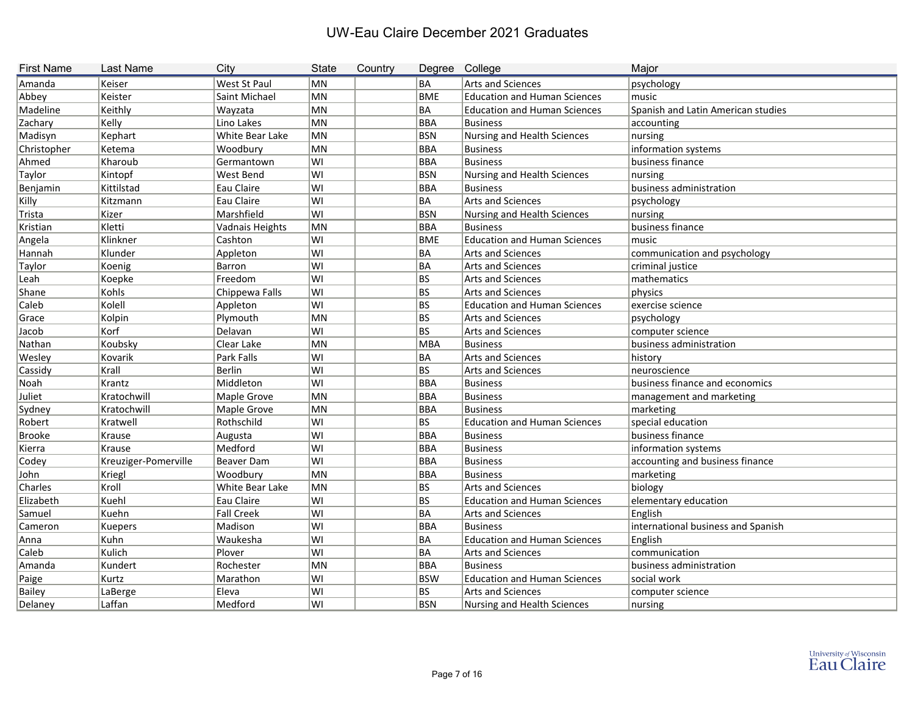| <b>First Name</b> | Last Name            | City              | <b>State</b> | Country | Degree College |                                     | Major                              |
|-------------------|----------------------|-------------------|--------------|---------|----------------|-------------------------------------|------------------------------------|
| Amanda            | Keiser               | West St Paul      | MN           |         | BA             | <b>Arts and Sciences</b>            | psychology                         |
| Abbey             | Keister              | Saint Michael     | MN           |         | BME            | <b>Education and Human Sciences</b> | music                              |
| Madeline          | Keithly              | Wayzata           | MN           |         | BA             | <b>Education and Human Sciences</b> | Spanish and Latin American studies |
| Zachary           | Kelly                | Lino Lakes        | MN           |         | BBA            | <b>Business</b>                     | accounting                         |
| Madisyn           | Kephart              | White Bear Lake   | MN           |         | BSN            | <b>Nursing and Health Sciences</b>  | nursing                            |
| Christopher       | Ketema               | Woodbury          | MN           |         | BBA            | <b>Business</b>                     | information systems                |
| Ahmed             | Kharoub              | Germantown        | WI           |         | BBA            | <b>Business</b>                     | business finance                   |
| Taylor            | Kintopf              | West Bend         | WI           |         | <b>BSN</b>     | <b>Nursing and Health Sciences</b>  | nursing                            |
| Benjamin          | Kittilstad           | Eau Claire        | WI           |         | BBA            | <b>Business</b>                     | business administration            |
| Killy             | Kitzmann             | Eau Claire        | WI           |         | BA             | <b>Arts and Sciences</b>            | psychology                         |
| Trista            | Kizer                | Marshfield        | WI           |         | BSN            | Nursing and Health Sciences         | nursing                            |
| Kristian          | Kletti               | Vadnais Heights   | MN           |         | BBA            | <b>Business</b>                     | business finance                   |
| Angela            | Klinkner             | Cashton           | ∣WI          |         | BME            | <b>Education and Human Sciences</b> | music                              |
| Hannah            | Klunder              | Appleton          | WI           |         | BA             | <b>Arts and Sciences</b>            | communication and psychology       |
| Taylor            | Koenig               | Barron            | WI           |         | BA             | Arts and Sciences                   | criminal justice                   |
| Leah              | Koepke               | Freedom           | ∣wı          |         | BS             | Arts and Sciences                   | mathematics                        |
| Shane             | Kohls                | Chippewa Falls    | WI           |         | BS             | <b>Arts and Sciences</b>            | physics                            |
| Caleb             | Kolell               | Appleton          | lwı          |         | BS             | <b>Education and Human Sciences</b> | exercise science                   |
| Grace             | Kolpin               | Plymouth          | MN           |         | BS             | <b>Arts and Sciences</b>            | psychology                         |
| Jacob             | Korf                 | Delavan           | WI           |         | BS             | <b>Arts and Sciences</b>            | computer science                   |
| Nathan            | Koubsky              | Clear Lake        | MN           |         | MBA            | <b>Business</b>                     | business administration            |
| Wesley            | Kovarik              | Park Falls        | WI           |         | BA             | <b>Arts and Sciences</b>            | history                            |
| Cassidy           | Krall                | <b>Berlin</b>     | ∣WI          |         | BS             | <b>Arts and Sciences</b>            | neuroscience                       |
| Noah              | Krantz               | Middleton         | WI           |         | BBA            | <b>Business</b>                     | business finance and economics     |
| Juliet            | Kratochwill          | Maple Grove       | MN           |         | BBA            | <b>Business</b>                     | management and marketing           |
| Sydney            | Kratochwill          | Maple Grove       | MN           |         | BBA            | <b>Business</b>                     | marketing                          |
| Robert            | Kratwell             | Rothschild        | WI           |         | BS             | <b>Education and Human Sciences</b> | special education                  |
| <b>Brooke</b>     | Krause               | Augusta           | WI           |         | BBA            | <b>Business</b>                     | business finance                   |
| Kierra            | Krause               | Medford           | WI           |         | BBA            | <b>Business</b>                     | information systems                |
| Codey             | Kreuziger-Pomerville | <b>Beaver Dam</b> | ∣WI          |         | BBA            | <b>Business</b>                     | accounting and business finance    |
| John              | Kriegl               | Woodbury          | MN           |         | BBA            | <b>Business</b>                     | marketing                          |
| Charles           | Kroll                | White Bear Lake   | MN           |         | BS             | <b>Arts and Sciences</b>            | biology                            |
| Elizabeth         | Kuehl                | Eau Claire        | WI           |         | BS             | <b>Education and Human Sciences</b> | elementary education               |
| Samuel            | Kuehn                | <b>Fall Creek</b> | WI           |         | BA             | Arts and Sciences                   | English                            |
| Cameron           | <b>Kuepers</b>       | Madison           | WI           |         | BBA            | <b>Business</b>                     | international business and Spanish |
| Anna              | Kuhn                 | Waukesha          | WI           |         | BA             | <b>Education and Human Sciences</b> | English                            |
| Caleb             | Kulich               | Plover            | ∣WI          |         | BA             | Arts and Sciences                   | communication                      |
| Amanda            | Kundert              | Rochester         | MN           |         | <b>BBA</b>     | <b>Business</b>                     | business administration            |
| Paige             | Kurtz                | Marathon          | WI           |         | <b>BSW</b>     | <b>Education and Human Sciences</b> | social work                        |
| Bailey            | LaBerge              | Eleva             | WI           |         | BS             | Arts and Sciences                   | computer science                   |
| Delaney           | Laffan               | Medford           | WI           |         | <b>BSN</b>     | Nursing and Health Sciences         | nursing                            |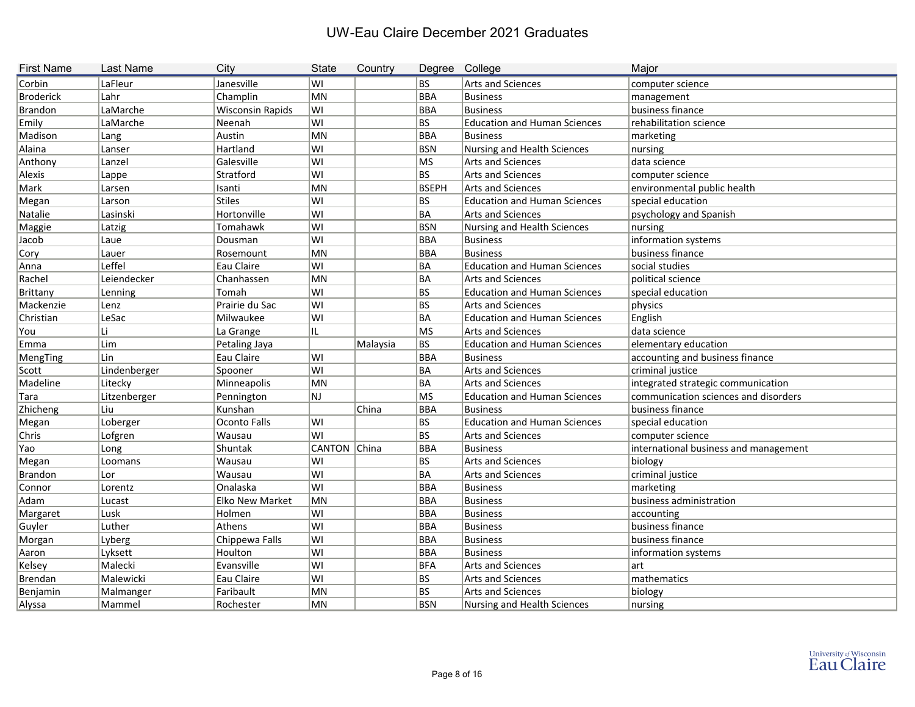| <b>First Name</b> | <b>Last Name</b> | City                    | <b>State</b>   | Country  |              | Degree College                      | Major                                 |
|-------------------|------------------|-------------------------|----------------|----------|--------------|-------------------------------------|---------------------------------------|
| Corbin            | LaFleur          | Janesville              | lwı            |          | BS           | Arts and Sciences                   | computer science                      |
| <b>Broderick</b>  | Lahr             | Champlin                | MN             |          | BBA          | <b>Business</b>                     | management                            |
| Brandon           | LaMarche         | <b>Wisconsin Rapids</b> | WI             |          | BBA          | <b>Business</b>                     | business finance                      |
| Emily             | LaMarche         | Neenah                  | lwı            |          | BS.          | <b>Education and Human Sciences</b> | rehabilitation science                |
| Madison           | Lang             | Austin                  | MN             |          | <b>BBA</b>   | <b>Business</b>                     | marketing                             |
| Alaina            | Lanser           | Hartland                | WI             |          | BSN          | Nursing and Health Sciences         | nursing                               |
| Anthony           | Lanzel           | Galesville              | WI             |          | MS           | Arts and Sciences                   | data science                          |
| Alexis            | Lappe            | Stratford               | WI             |          | BS           | Arts and Sciences                   | computer science                      |
| Mark              | Larsen           | Isanti                  | MN             |          | <b>BSEPH</b> | <b>Arts and Sciences</b>            | environmental public health           |
| Megan             | Larson           | <b>Stiles</b>           | WI             |          | BS           | <b>Education and Human Sciences</b> | special education                     |
| Natalie           | Lasinski         | Hortonville             | lwı            |          | BA           | <b>Arts and Sciences</b>            | psychology and Spanish                |
| Maggie            | Latzig           | Tomahawk                | WI             |          | <b>BSN</b>   | Nursing and Health Sciences         | nursing                               |
| Jacob             | Laue             | Dousman                 | lwı            |          | <b>BBA</b>   | <b>Business</b>                     | information systems                   |
| Cory              | Lauer            | Rosemount               | MN             |          | <b>BBA</b>   | <b>Business</b>                     | business finance                      |
| Anna              | Leffel           | Eau Claire              | WI             |          | BA           | <b>Education and Human Sciences</b> | social studies                        |
| Rachel            | Leiendecker      | Chanhassen              | MN             |          | BA           | Arts and Sciences                   | political science                     |
| <b>Brittany</b>   | Lenning          | Tomah                   | lwı            |          | BS           | <b>Education and Human Sciences</b> | special education                     |
| Mackenzie         | Lenz             | Prairie du Sac          | lwı            |          | BS           | <b>Arts and Sciences</b>            | physics                               |
| Christian         | LeSac            | Milwaukee               | ∣wı            |          | BA           | <b>Education and Human Sciences</b> | English                               |
| You               |                  | La Grange               | IL             |          | MS           | <b>Arts and Sciences</b>            | data science                          |
| Emma              | Lim              | Petaling Jaya           |                | Malaysia | BS           | <b>Education and Human Sciences</b> | elementary education                  |
| MengTing          | Lin              | Eau Claire              | lwı            |          | BBA          | <b>Business</b>                     | accounting and business finance       |
| Scott             | Lindenberger     | Spooner                 | lwı            |          | BA           | Arts and Sciences                   | criminal justice                      |
| Madeline          | Litecky          | Minneapolis             | MN             |          | BA           | Arts and Sciences                   | integrated strategic communication    |
| Tara              | Litzenberger     | Pennington              | NJ             |          | MS           | <b>Education and Human Sciences</b> | communication sciences and disorders  |
| Zhicheng          | Liu              | Kunshan                 |                | China    | BBA          | <b>Business</b>                     | business finance                      |
| Megan             | Loberger         | Oconto Falls            | lwı            |          | BS           | <b>Education and Human Sciences</b> | special education                     |
| Chris             | Lofgren          | Wausau                  | lwı            |          | BS           | Arts and Sciences                   | computer science                      |
| Yao               | Long             | Shuntak                 | CANTON China   |          | BBA          | <b>Business</b>                     | international business and management |
| Megan             | Loomans          | Wausau                  | WI             |          | BS           | Arts and Sciences                   | biology                               |
| Brandon           | Lor              | Wausau                  | WI             |          | BA           | Arts and Sciences                   | criminal justice                      |
| Connor            | Lorentz          | Onalaska                | lwı            |          | <b>BBA</b>   | <b>Business</b>                     | marketing                             |
| Adam              | Lucast           | <b>Elko New Market</b>  | M <sub>N</sub> |          | BBA          | <b>Business</b>                     | business administration               |
| Margaret          | Lusk             | Holmen                  | WI             |          | <b>BBA</b>   | <b>Business</b>                     | accounting                            |
| Guyler            | Luther           | Athens                  | WI             |          | BBA          | <b>Business</b>                     | business finance                      |
| Morgan            | Lyberg           | Chippewa Falls          | WI             |          | <b>BBA</b>   | <b>Business</b>                     | business finance                      |
| Aaron             | Lyksett          | Houlton                 | ∣WI            |          | <b>BBA</b>   | <b>Business</b>                     | information systems                   |
| Kelsey            | Malecki          | Evansville              | WI             |          | <b>BFA</b>   | Arts and Sciences                   | art                                   |
| Brendan           | Malewicki        | Eau Claire              | WI             |          | BS           | Arts and Sciences                   | mathematics                           |
| Benjamin          | Malmanger        | Faribault               | MN             |          | BS           | Arts and Sciences                   | biology                               |
| Alyssa            | Mammel           | Rochester               | MN             |          | <b>BSN</b>   | Nursing and Health Sciences         | nursing                               |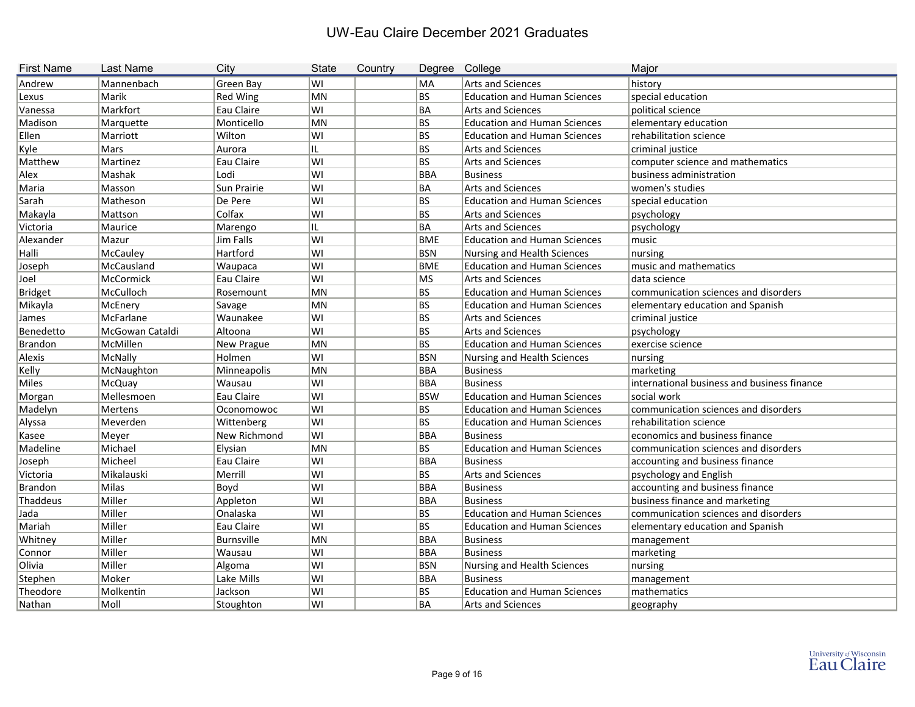| <b>First Name</b> | <b>Last Name</b> | City            | <b>State</b> | Country |            | Degree College                      | Major                                       |
|-------------------|------------------|-----------------|--------------|---------|------------|-------------------------------------|---------------------------------------------|
| Andrew            | Mannenbach       | Green Bay       | WI           |         | MA         | Arts and Sciences                   | history                                     |
| Lexus             | Marik            | <b>Red Wing</b> | MN           |         | BS         | <b>Education and Human Sciences</b> | special education                           |
| Vanessa           | Markfort         | Eau Claire      | WI           |         | ∣BA        | <b>Arts and Sciences</b>            | political science                           |
| Madison           | Marquette        | Monticello      | MN           |         | BS         | <b>Education and Human Sciences</b> | elementary education                        |
| Ellen             | Marriott         | Wilton          | WI           |         | BS         | <b>Education and Human Sciences</b> | rehabilitation science                      |
| Kyle              | Mars             | Aurora          | IL.          |         | BS         | <b>Arts and Sciences</b>            | criminal justice                            |
| Matthew           | Martinez         | Eau Claire      | WI           |         | BS         | <b>Arts and Sciences</b>            | computer science and mathematics            |
| Alex              | Mashak           | Lodi            | WI           |         | BBA        | <b>Business</b>                     | business administration                     |
| Maria             | Masson           | Sun Prairie     | WI           |         | ∣BA        | Arts and Sciences                   | women's studies                             |
| Sarah             | Matheson         | De Pere         | WI           |         | BS         | <b>Education and Human Sciences</b> | special education                           |
| Makayla           | Mattson          | Colfax          | WI           |         | BS         | <b>Arts and Sciences</b>            | psychology                                  |
| Victoria          | Maurice          | Marengo         | IL           |         | BA         | Arts and Sciences                   | psychology                                  |
| Alexander         | Mazur            | Jim Falls       | WI           |         | <b>BME</b> | <b>Education and Human Sciences</b> | music                                       |
| Halli             | McCauley         | Hartford        | WI           |         | <b>BSN</b> | Nursing and Health Sciences         | nursing                                     |
| Joseph            | McCausland       | Waupaca         | WI           |         | BME        | <b>Education and Human Sciences</b> | music and mathematics                       |
| Joel              | McCormick        | Eau Claire      | WI           |         | ∣MS        | Arts and Sciences                   | data science                                |
| Bridget           | McCulloch        | Rosemount       | MN           |         | BS         | <b>Education and Human Sciences</b> | communication sciences and disorders        |
| Mikayla           | McEnery          | Savage          | <b>MN</b>    |         | BS         | <b>Education and Human Sciences</b> | elementary education and Spanish            |
| James             | McFarlane        | Waunakee        | WI           |         | BS         | Arts and Sciences                   | criminal justice                            |
| Benedetto         | McGowan Cataldi  | Altoona         | WI           |         | BS         | <b>Arts and Sciences</b>            | psychology                                  |
| Brandon           | McMillen         | New Prague      | MN           |         | BS         | <b>Education and Human Sciences</b> | exercise science                            |
| Alexis            | McNally          | Holmen          | WI           |         | BSN        | Nursing and Health Sciences         | nursing                                     |
| Kelly             | McNaughton       | Minneapolis     | MN           |         | BBA        | <b>Business</b>                     | marketing                                   |
| Miles             | McQuay           | Wausau          | WI           |         | <b>BBA</b> | <b>Business</b>                     | international business and business finance |
| Morgan            | Mellesmoen       | Eau Claire      | WI           |         | <b>BSW</b> | <b>Education and Human Sciences</b> | social work                                 |
| Madelyn           | Mertens          | Oconomowoc      | WI           |         | BS         | <b>Education and Human Sciences</b> | communication sciences and disorders        |
| Alyssa            | Meverden         | Wittenberg      | WI           |         | BS.        | <b>Education and Human Sciences</b> | rehabilitation science                      |
| Kasee             | Meyer            | New Richmond    | WI           |         | ∣BBA       | <b>Business</b>                     | economics and business finance              |
| Madeline          | Michael          | Elysian         | MN           |         | BS         | <b>Education and Human Sciences</b> | communication sciences and disorders        |
| Joseph            | Micheel          | Eau Claire      | WI           |         | ∣BBA       | Business                            | accounting and business finance             |
| Victoria          | Mikalauski       | Merrill         | WI           |         | BS         | <b>Arts and Sciences</b>            | psychology and English                      |
| Brandon           | Milas            | Boyd            | WI           |         | BBA        | Business                            | accounting and business finance             |
| Thaddeus          | Miller           | Appleton        | WI           |         | BBA        | Business                            | business finance and marketing              |
| Jada              | Miller           | Onalaska        | WI           |         | BS         | <b>Education and Human Sciences</b> | communication sciences and disorders        |
| Mariah            | Miller           | Eau Claire      | WI           |         | BS         | <b>Education and Human Sciences</b> | elementary education and Spanish            |
| Whitney           | Miller           | Burnsville      | MN           |         | <b>BBA</b> | <b>Business</b>                     | management                                  |
| Connor            | Miller           | Wausau          | WI           |         | <b>BBA</b> | Business                            | marketing                                   |
| Olivia            | Miller           | Algoma          | WI           |         | <b>BSN</b> | Nursing and Health Sciences         | nursing                                     |
| Stephen           | Moker            | Lake Mills      | WI           |         | <b>BBA</b> | <b>Business</b>                     | management                                  |
| Theodore          | Molkentin        | Jackson         | WI           |         | BS         | <b>Education and Human Sciences</b> | mathematics                                 |
| Nathan            | $\sf M$ oll      | Stoughton       | WI           |         | BA         | Arts and Sciences                   | geography                                   |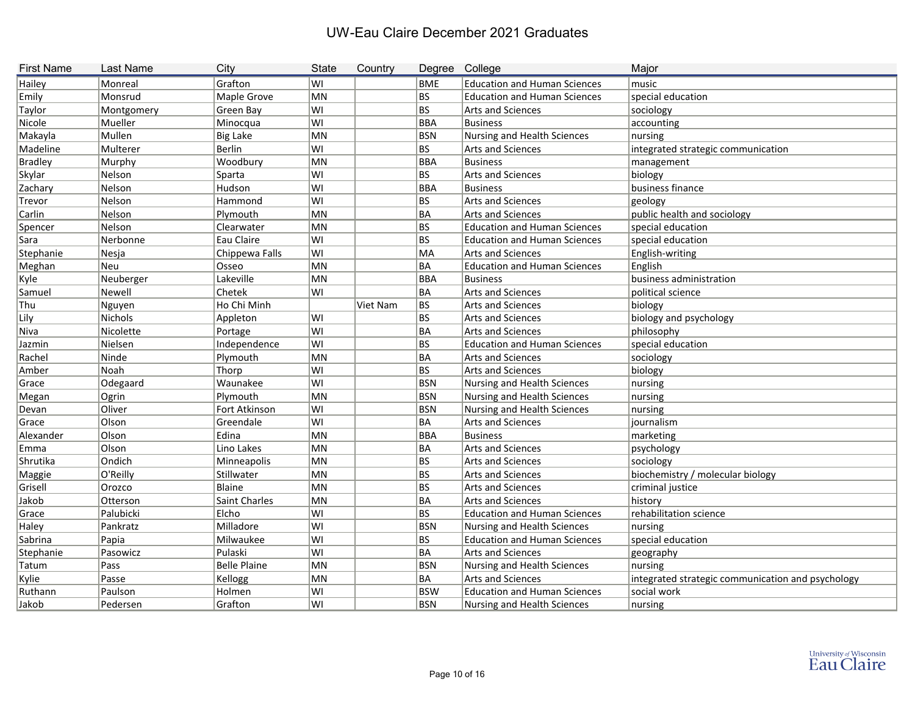| <b>First Name</b> | Last Name      | City                | <b>State</b> | Country  | Degree College |                                     | Major                                             |
|-------------------|----------------|---------------------|--------------|----------|----------------|-------------------------------------|---------------------------------------------------|
| Hailey            | Monreal        | Grafton             | lwı          |          | BME            | <b>Education and Human Sciences</b> | music                                             |
| Emily             | Monsrud        | Maple Grove         | MN           |          | BS             | <b>Education and Human Sciences</b> | special education                                 |
| Taylor            | Montgomery     | Green Bay           | lwı          |          | BS             | Arts and Sciences                   | sociology                                         |
| Nicole            | Mueller        | Minocqua            | ∣WI          |          | BBA            | Business                            | accounting                                        |
| Makayla           | Mullen         | <b>Big Lake</b>     | MN           |          | <b>BSN</b>     | Nursing and Health Sciences         | nursing                                           |
| Madeline          | Multerer       | Berlin              | lwı          |          | BS             | Arts and Sciences                   | integrated strategic communication                |
| <b>Bradley</b>    | Murphy         | Woodbury            | MN           |          | <b>BBA</b>     | <b>Business</b>                     | management                                        |
| Skylar            | Nelson         | Sparta              | lwı          |          | BS             | <b>Arts and Sciences</b>            | biology                                           |
| Zachary           | Nelson         | Hudson              | ∣WI          |          | <b>BBA</b>     | <b>Business</b>                     | business finance                                  |
| Trevor            | Nelson         | Hammond             | lwı          |          | BS             | Arts and Sciences                   | geology                                           |
| Carlin            | Nelson         | Plymouth            | MN           |          | ∣BA            | Arts and Sciences                   | public health and sociology                       |
| Spencer           | Nelson         | Clearwater          | MN           |          | BS             | <b>Education and Human Sciences</b> | special education                                 |
| Sara              | Nerbonne       | Eau Claire          | ∣WI          |          | BS             | <b>Education and Human Sciences</b> | special education                                 |
| Stephanie         | Nesja          | Chippewa Falls      | ∣WI          |          | MA             | Arts and Sciences                   | English-writing                                   |
| Meghan            | Neu            | Osseo               | MN           |          | BA             | <b>Education and Human Sciences</b> | English                                           |
| Kyle              | Neuberger      | Lakeville           | MN           |          | BBA            | Business                            | business administration                           |
| Samuel            | Newell         | Chetek              | lwı          |          | BA             | <b>Arts and Sciences</b>            | political science                                 |
| Thu               | Nguyen         | Ho Chi Minh         |              | Viet Nam | BS             | <b>Arts and Sciences</b>            | biology                                           |
| Lily              | <b>Nichols</b> | Appleton            | lwı          |          | BS             | Arts and Sciences                   | biology and psychology                            |
| Niva              | Nicolette      | Portage             | lwı          |          | ∣BA            | Arts and Sciences                   | philosophy                                        |
| Jazmin            | Nielsen        | Independence        | ∣WI          |          | BS             | <b>Education and Human Sciences</b> | special education                                 |
| Rachel            | Ninde          | Plymouth            | MN           |          | ∣BA            | <b>Arts and Sciences</b>            | sociology                                         |
| Amber             | Noah           | Thorp               | WI           |          | BS             | Arts and Sciences                   | biology                                           |
| Grace             | Odegaard       | Waunakee            | lwı          |          | <b>BSN</b>     | Nursing and Health Sciences         | nursing                                           |
| Megan             | Ogrin          | Plymouth            | MN           |          | <b>BSN</b>     | Nursing and Health Sciences         | nursing                                           |
| Devan             | Oliver         | Fort Atkinson       | lwı          |          | <b>BSN</b>     | Nursing and Health Sciences         | nursing                                           |
| Grace             | Olson          | Greendale           | lwı          |          | BA             | <b>Arts and Sciences</b>            | journalism                                        |
| Alexander         | Olson          | Edina               | MN           |          | BBA            | Business                            | marketing                                         |
| Emma              | Olson          | Lino Lakes          | MN           |          | BA             | Arts and Sciences                   | psychology                                        |
| Shrutika          | Ondich         | Minneapolis         | MN           |          | BS             | <b>Arts and Sciences</b>            | sociology                                         |
| Maggie            | O'Reilly       | Stillwater          | MN           |          | BS             | <b>Arts and Sciences</b>            | biochemistry / molecular biology                  |
| Grisell           | Orozco         | Blaine              | MN           |          | BS             | <b>Arts and Sciences</b>            | criminal justice                                  |
| Jakob             | Otterson       | Saint Charles       | MN           |          | BA             | Arts and Sciences                   | history                                           |
| Grace             | Palubicki      | Elcho               | WI           |          | BS             | <b>Education and Human Sciences</b> | rehabilitation science                            |
| Haley             | Pankratz       | Milladore           | lWI          |          | BSN            | Nursing and Health Sciences         | nursing                                           |
| Sabrina           | Papia          | Milwaukee           | lwı          |          | BS             | <b>Education and Human Sciences</b> | special education                                 |
| Stephanie         | Pasowicz       | Pulaski             | WI           |          | BA             | Arts and Sciences                   | geography                                         |
| Tatum             | Pass           | <b>Belle Plaine</b> | MN           |          | <b>BSN</b>     | Nursing and Health Sciences         | nursing                                           |
| Kylie             | Passe          | Kellogg             | MN           |          | BA             | Arts and Sciences                   | integrated strategic communication and psychology |
| Ruthann           | Paulson        | Holmen              | WI           |          | <b>BSW</b>     | <b>Education and Human Sciences</b> | social work                                       |
| Jakob             | Pedersen       | Grafton             | ∣WI          |          | BSN            | Nursing and Health Sciences         | nursing                                           |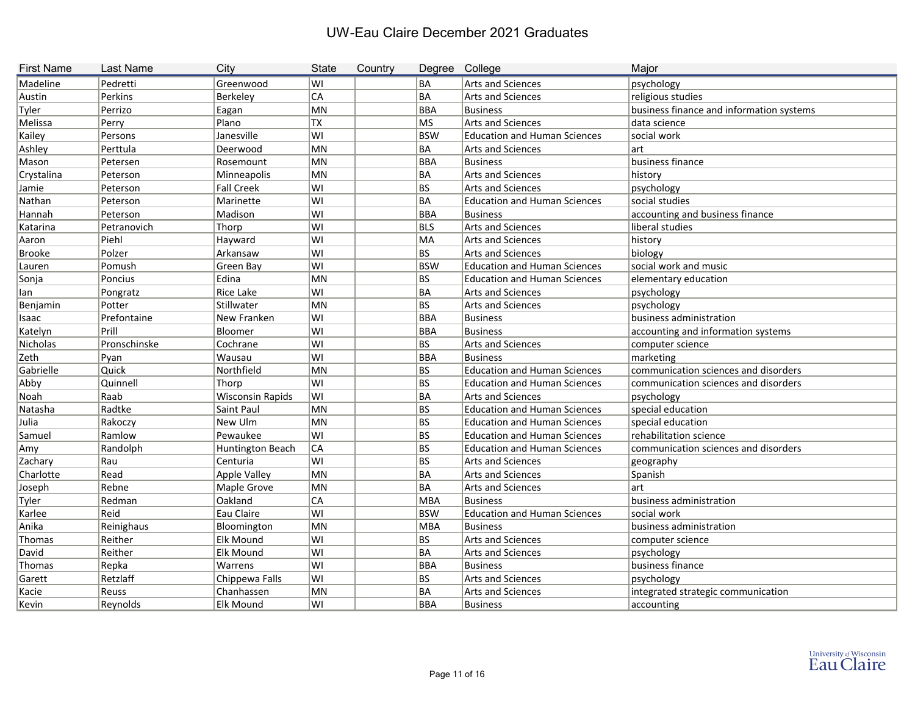| <b>First Name</b> | Last Name    | City                    | <b>State</b> | Country | Degree College |                                     | Major                                    |
|-------------------|--------------|-------------------------|--------------|---------|----------------|-------------------------------------|------------------------------------------|
| Madeline          | Pedretti     | Greenwood               | lwı          |         | BA             | Arts and Sciences                   | psychology                               |
| Austin            | Perkins      | Berkeley                | <b>CA</b>    |         | BA             | <b>Arts and Sciences</b>            | religious studies                        |
| Tyler             | Perrizo      | Eagan                   | MN           |         | <b>BBA</b>     | <b>Business</b>                     | business finance and information systems |
| Melissa           | Perry        | Plano                   | TX           |         | MS             | Arts and Sciences                   | data science                             |
| Kailey            | Persons      | Janesville              | ∣WI          |         | <b>BSW</b>     | <b>Education and Human Sciences</b> | social work                              |
| Ashley            | Perttula     | Deerwood                | MN           |         | BA             | <b>Arts and Sciences</b>            | art                                      |
| Mason             | Petersen     | Rosemount               | MN           |         | <b>BBA</b>     | Business                            | business finance                         |
| Crystalina        | Peterson     | Minneapolis             | MN           |         | BA             | Arts and Sciences                   | history                                  |
| Jamie             | Peterson     | <b>Fall Creek</b>       | ∣WI          |         | BS             | Arts and Sciences                   | psychology                               |
| Nathan            | Peterson     | Marinette               | ∣WI          |         | ∣BA            | <b>Education and Human Sciences</b> | social studies                           |
| Hannah            | Peterson     | Madison                 | lwı          |         | BBA            | <b>Business</b>                     | accounting and business finance          |
| Katarina          | Petranovich  | Thorp                   | lwı          |         | BLS            | <b>Arts and Sciences</b>            | liberal studies                          |
| Aaron             | Piehl        | Hayward                 | lwı          |         | MA             | <b>Arts and Sciences</b>            | history                                  |
| <b>Brooke</b>     | Polzer       | Arkansaw                | ∣WI          |         | BS             | Arts and Sciences                   | biology                                  |
| Lauren            | Pomush       | Green Bay               | ∣wı          |         | <b>BSW</b>     | <b>Education and Human Sciences</b> | social work and music                    |
| Sonja             | Poncius      | Edina                   | MN           |         | BS             | <b>Education and Human Sciences</b> | elementary education                     |
| lan               | Pongratz     | Rice Lake               | lwı          |         | ∣BA            | <b>Arts and Sciences</b>            | psychology                               |
| Benjamin          | Potter       | Stillwater              | MN           |         | BS.            | <b>Arts and Sciences</b>            | psychology                               |
| Isaac             | Prefontaine  | New Franken             | ∣WI          |         | <b>BBA</b>     | Business                            | business administration                  |
| Katelyn           | Prill        | Bloomer                 | lwı          |         | <b>BBA</b>     | <b>Business</b>                     | accounting and information systems       |
| Nicholas          | Pronschinske | Cochrane                | lwı          |         | BS             | Arts and Sciences                   | computer science                         |
| Zeth              | Pyan         | Wausau                  | lwı          |         | BBA            | Business                            | marketing                                |
| Gabrielle         | Quick        | Northfield              | MN           |         | BS             | <b>Education and Human Sciences</b> | communication sciences and disorders     |
| Abby              | Quinnell     | Thorp                   | ∣WI          |         | BS             | <b>Education and Human Sciences</b> | communication sciences and disorders     |
| Noah              | Raab         | <b>Wisconsin Rapids</b> | lwı          |         | ∣BA            | Arts and Sciences                   | psychology                               |
| Natasha           | Radtke       | Saint Paul              | MN           |         | BS             | <b>Education and Human Sciences</b> | special education                        |
| Julia             | Rakoczy      | New Ulm                 | MN           |         | BS             | <b>Education and Human Sciences</b> | special education                        |
| Samuel            | Ramlow       | Pewaukee                | ∣WI          |         | BS             | <b>Education and Human Sciences</b> | rehabilitation science                   |
| Amy               | Randolph     | Huntington Beach        | CA           |         | BS             | <b>Education and Human Sciences</b> | communication sciences and disorders     |
| Zachary           | Rau          | Centuria                | lwı          |         | BS             | Arts and Sciences                   | geography                                |
| Charlotte         | Read         | <b>Apple Valley</b>     | MN           |         | ∣BA            | <b>Arts and Sciences</b>            | Spanish                                  |
| Joseph            | Rebne        | Maple Grove             | MN           |         | BA             | <b>Arts and Sciences</b>            | art                                      |
| Tyler             | Redman       | Oakland                 | ∣CA          |         | MBA            | Business                            | business administration                  |
| Karlee            | Reid         | Eau Claire              | lWI          |         | <b>BSW</b>     | <b>Education and Human Sciences</b> | social work                              |
| Anika             | Reinighaus   | Bloomington             | MN           |         | MBA            | Business                            | business administration                  |
| Thomas            | Reither      | Elk Mound               | WI           |         | BS             | Arts and Sciences                   | computer science                         |
| David             | Reither      | Elk Mound               | ∣WI          |         | BA             | Arts and Sciences                   | psychology                               |
| Thomas            | Repka        | Warrens                 | ∣WI          |         | BBA            | Business                            | business finance                         |
| Garett            | Retzlaff     | Chippewa Falls          | lwı          |         | BS.            | Arts and Sciences                   | psychology                               |
| Kacie             | Reuss        | Chanhassen              | MN           |         | BA             | Arts and Sciences                   | integrated strategic communication       |
| Kevin             | Reynolds     | Elk Mound               | lwı          |         | BBA            | <b>Business</b>                     | accounting                               |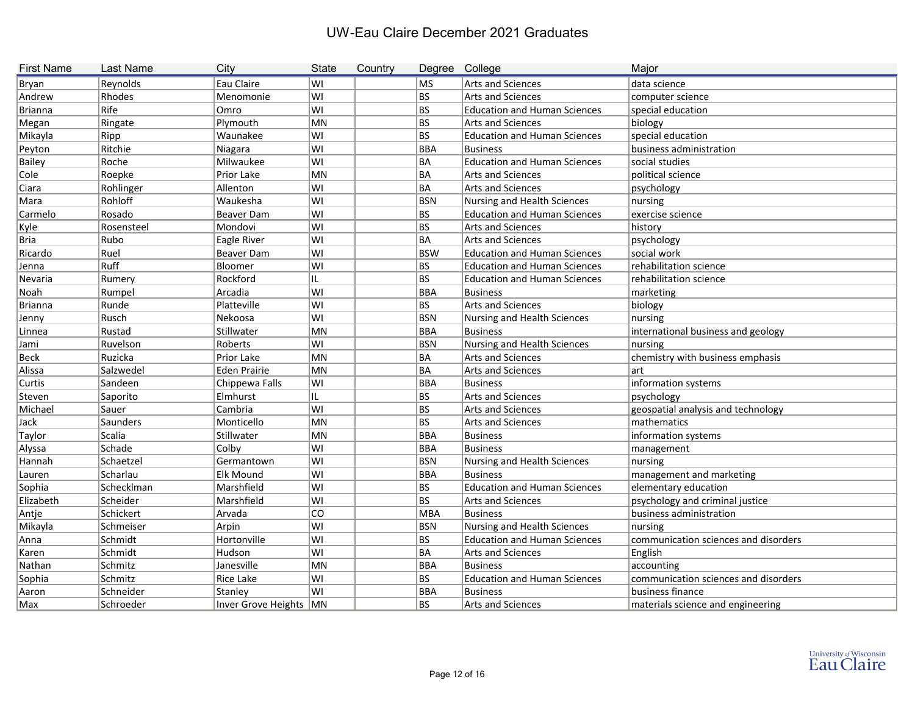| <b>First Name</b> | Last Name       | City                   | <b>State</b> | Country | Degree College |                                     | Major                                |
|-------------------|-----------------|------------------------|--------------|---------|----------------|-------------------------------------|--------------------------------------|
| <b>Bryan</b>      | Reynolds        | Eau Claire             | lwı          |         | MS             | <b>Arts and Sciences</b>            | data science                         |
| Andrew            | Rhodes          | Menomonie              | lwı          |         | BS             | <b>Arts and Sciences</b>            | computer science                     |
| <b>Brianna</b>    | Rife            | Omro                   | lwı          |         | BS             | <b>Education and Human Sciences</b> | special education                    |
| Megan             | Ringate         | Plymouth               | MN           |         | BS             | <b>Arts and Sciences</b>            | biology                              |
| Mikayla           | Ripp            | Waunakee               | lwı          |         | BS             | <b>Education and Human Sciences</b> | special education                    |
| Peyton            | Ritchie         | Niagara                | lwı          |         | BBA            | <b>Business</b>                     | business administration              |
| <b>Bailey</b>     | Roche           | Milwaukee              | lwı          |         | BA             | <b>Education and Human Sciences</b> | social studies                       |
| Cole              | Roepke          | Prior Lake             | MN           |         | BA             | <b>Arts and Sciences</b>            | political science                    |
| Ciara             | Rohlinger       | Allenton               | lwı          |         | BA             | <b>Arts and Sciences</b>            | psychology                           |
| Mara              | Rohloff         | Waukesha               | lwı          |         | <b>BSN</b>     | Nursing and Health Sciences         | nursing                              |
| Carmelo           | Rosado          | <b>Beaver Dam</b>      | ∣wı          |         | BS             | <b>Education and Human Sciences</b> | exercise science                     |
| Kyle              | Rosensteel      | Mondovi                | lwı          |         | BS             | <b>Arts and Sciences</b>            | history                              |
| <b>Bria</b>       | Rubo            | Eagle River            | WI           |         | BA             | <b>Arts and Sciences</b>            | psychology                           |
| Ricardo           | Ruel            | <b>Beaver Dam</b>      | WI           |         | <b>BSW</b>     | <b>Education and Human Sciences</b> | social work                          |
| Jenna             | Ruff            | Bloomer                | lwı          |         | BS             | <b>Education and Human Sciences</b> | rehabilitation science               |
| Nevaria           | Rumery          | Rockford               | ЧL.          |         | BS             | <b>Education and Human Sciences</b> | rehabilitation science               |
| Noah              | Rumpel          | Arcadia                | lwı          |         | BBA            | <b>Business</b>                     | marketing                            |
| <b>Brianna</b>    | Runde           | Platteville            | lwı          |         | BS             | <b>Arts and Sciences</b>            | biology                              |
| Jenny             | Rusch           | Nekoosa                | lwı          |         | <b>BSN</b>     | Nursing and Health Sciences         | nursing                              |
| Linnea            | Rustad          | Stillwater             | MN           |         | BBA            | <b>Business</b>                     | international business and geology   |
| Jami              | Ruvelson        | Roberts                | lwı          |         | BSN            | Nursing and Health Sciences         | nursing                              |
| <b>Beck</b>       | Ruzicka         | Prior Lake             | MN           |         | BA             | Arts and Sciences                   | chemistry with business emphasis     |
| Alissa            | Salzwedel       | <b>Eden Prairie</b>    | MN           |         | BA             | Arts and Sciences                   | art                                  |
| Curtis            | Sandeen         | Chippewa Falls         | lwı          |         | BBA            | <b>Business</b>                     | information systems                  |
| Steven            | Saporito        | Elmhurst               | IL           |         | BS             | <b>Arts and Sciences</b>            | psychology                           |
| Michael           | Sauer           | Cambria                | lwı          |         | BS             | <b>Arts and Sciences</b>            | geospatial analysis and technology   |
| Jack              | <b>Saunders</b> | Monticello             | MN           |         | BS             | Arts and Sciences                   | mathematics                          |
| Taylor            | Scalia          | Stillwater             | MN           |         | BBA            | <b>Business</b>                     | information systems                  |
| Alyssa            | Schade          | Colby                  | WI           |         | BBA            | <b>Business</b>                     | management                           |
| Hannah            | Schaetzel       | Germantown             | WI           |         | BSN            | Nursing and Health Sciences         | nursing                              |
| Lauren            | Scharlau        | <b>Elk Mound</b>       | lwı          |         | BBA            | <b>Business</b>                     | management and marketing             |
| Sophia            | Schecklman      | Marshfield             | lwı          |         | BS             | <b>Education and Human Sciences</b> | elementary education                 |
| Elizabeth         | Scheider        | Marshfield             | ∣WI          |         | BS             | Arts and Sciences                   | psychology and criminal justice      |
| Antje             | Schickert       | Arvada                 | lco.         |         | MBA            | <b>Business</b>                     | business administration              |
| Mikayla           | Schmeiser       | Arpin                  | WI           |         | <b>BSN</b>     | <b>Nursing and Health Sciences</b>  | nursing                              |
| Anna              | Schmidt         | Hortonville            | lwı          |         | BS             | <b>Education and Human Sciences</b> | communication sciences and disorders |
| Karen             | Schmidt         | Hudson                 | WI           |         | BA             | Arts and Sciences                   | English                              |
| Nathan            | Schmitz         | Janesville             | MN           |         | BBA            | <b>Business</b>                     | accounting                           |
| Sophia            | Schmitz         | Rice Lake              | WI           |         | BS             | <b>Education and Human Sciences</b> | communication sciences and disorders |
| Aaron             | Schneider       | Stanley                | ∣wı          |         | BBA            | <b>Business</b>                     | business finance                     |
| Max               | Schroeder       | Inver Grove Heights MN |              |         | BS             | <b>Arts and Sciences</b>            | materials science and engineering    |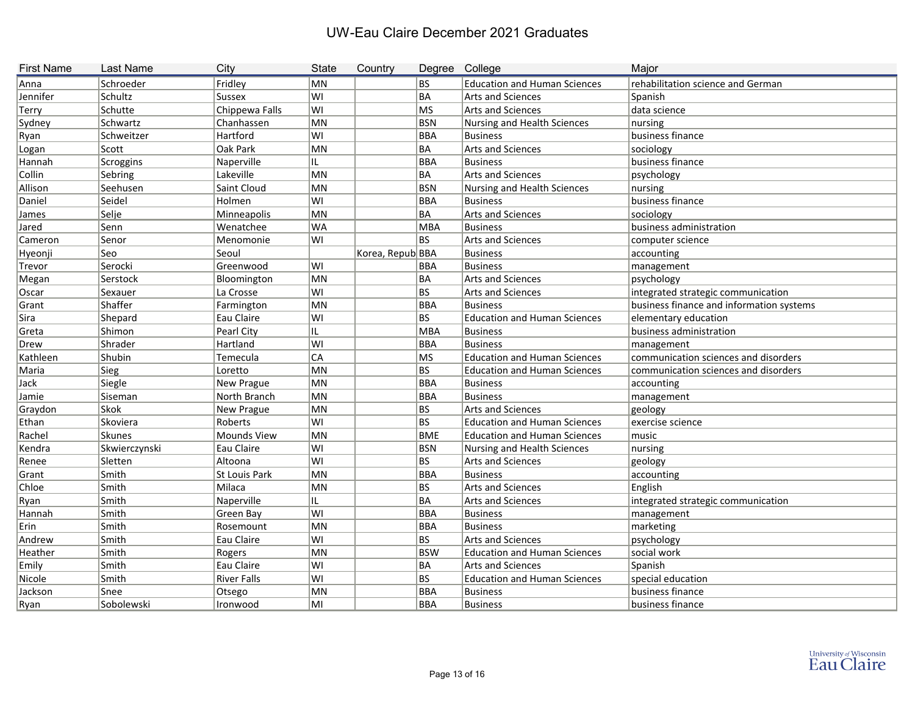| <b>First Name</b> | <b>Last Name</b> | City                 | <b>State</b> | Country          | Degree     | College                             | Major                                    |
|-------------------|------------------|----------------------|--------------|------------------|------------|-------------------------------------|------------------------------------------|
| Anna              | Schroeder        | Fridley              | MN           |                  | <b>BS</b>  | <b>Education and Human Sciences</b> | rehabilitation science and German        |
| Jennifer          | Schultz          | Sussex               | WI           |                  | <b>BA</b>  | Arts and Sciences                   | Spanish                                  |
| Terry             | Schutte          | Chippewa Falls       | WI           |                  | <b>MS</b>  | Arts and Sciences                   | data science                             |
| Sydney            | Schwartz         | Chanhassen           | MN           |                  | <b>BSN</b> | Nursing and Health Sciences         | nursing                                  |
| Ryan              | Schweitzer       | Hartford             | WI           |                  | <b>BBA</b> | Business                            | business finance                         |
| Logan             | Scott            | Oak Park             | MN           |                  | <b>BA</b>  | Arts and Sciences                   | sociology                                |
| Hannah            | Scroggins        | Naperville           | IL.          |                  | <b>BBA</b> | Business                            | business finance                         |
| Collin            | Sebring          | Lakeville            | MN           |                  | <b>BA</b>  | Arts and Sciences                   | psychology                               |
| Allison           | Seehusen         | Saint Cloud          | MN           |                  | <b>BSN</b> | Nursing and Health Sciences         | nursing                                  |
| Daniel            | Seidel           | Holmen               | lwı          |                  | <b>BBA</b> | Business                            | business finance                         |
| James             | Selje            | Minneapolis          | MN           |                  | <b>BA</b>  | Arts and Sciences                   | sociology                                |
| Jared             | Senn             | Wenatchee            | WA           |                  | <b>MBA</b> | Business                            | business administration                  |
| Cameron           | Senor            | Menomonie            | WI           |                  | <b>BS</b>  | Arts and Sciences                   | computer science                         |
| Hyeonji           | Seo              | Seoul                |              | Korea, Repub BBA |            | Business                            | accounting                               |
| Trevor            | Serocki          | Greenwood            | WI           |                  | <b>BBA</b> | Business                            | management                               |
| Megan             | Serstock         | Bloomington          | MN           |                  | <b>BA</b>  | Arts and Sciences                   | psychology                               |
| Oscar             | Sexauer          | La Crosse            | WI           |                  | <b>BS</b>  | Arts and Sciences                   | integrated strategic communication       |
| Grant             | Shaffer          | Farmington           | MN           |                  | <b>BBA</b> | <b>Business</b>                     | business finance and information systems |
| Sira              | Shepard          | Eau Claire           | WI           |                  | <b>BS</b>  | <b>Education and Human Sciences</b> | elementary education                     |
| Greta             | Shimon           | Pearl City           | IL           |                  | <b>MBA</b> | Business                            | business administration                  |
| Drew              | Shrader          | Hartland             | WI           |                  | <b>BBA</b> | Business                            | management                               |
| Kathleen          | Shubin           | Temecula             | <b>CA</b>    |                  | <b>MS</b>  | <b>Education and Human Sciences</b> | communication sciences and disorders     |
| Maria             | Sieg             | Loretto              | MN           |                  | <b>BS</b>  | <b>Education and Human Sciences</b> | communication sciences and disorders     |
| Jack              | Siegle           | New Prague           | MN           |                  | <b>BBA</b> | Business                            | accounting                               |
| Jamie             | Siseman          | North Branch         | MN           |                  | <b>BBA</b> | <b>Business</b>                     | management                               |
| Graydon           | Skok             | New Prague           | MN           |                  | <b>BS</b>  | Arts and Sciences                   | geology                                  |
| Ethan             | Skoviera         | Roberts              | WI           |                  | <b>BS</b>  | <b>Education and Human Sciences</b> | exercise science                         |
| Rachel            | Skunes           | Mounds View          | MN           |                  | <b>BME</b> | <b>Education and Human Sciences</b> | music                                    |
| Kendra            | Skwierczynski    | Eau Claire           | WI           |                  | <b>BSN</b> | Nursing and Health Sciences         | nursing                                  |
| Renee             | Sletten          | Altoona              | WI           |                  | <b>BS</b>  | Arts and Sciences                   | geology                                  |
| Grant             | Smith            | <b>St Louis Park</b> | MN           |                  | <b>BBA</b> | Business                            | accounting                               |
| Chloe             | Smith            | Milaca               | MN           |                  | <b>BS</b>  | <b>Arts and Sciences</b>            | English                                  |
| Ryan              | Smith            | Naperville           | IL.          |                  | BA         | Arts and Sciences                   | integrated strategic communication       |
| Hannah            | Smith            | Green Bay            | WI           |                  | <b>BBA</b> | Business                            | management                               |
| Erin              | Smith            | Rosemount            | MN           |                  | <b>BBA</b> | Business                            | marketing                                |
| Andrew            | Smith            | Eau Claire           | WI           |                  | BS         | Arts and Sciences                   | psychology                               |
| Heather           | <b>Smith</b>     | Rogers               | MN           |                  | <b>BSW</b> | <b>Education and Human Sciences</b> | social work                              |
| Emily             | Smith            | Eau Claire           | WI           |                  | BA         | Arts and Sciences                   | Spanish                                  |
| Nicole            | Smith            | <b>River Falls</b>   | WI           |                  | BS         | <b>Education and Human Sciences</b> | special education                        |
| Jackson           | Snee             | Otsego               | MN           |                  | <b>BBA</b> | Business                            | business finance                         |
| Ryan              | Sobolewski       | Ironwood             | MI           |                  | <b>BBA</b> | Business                            | business finance                         |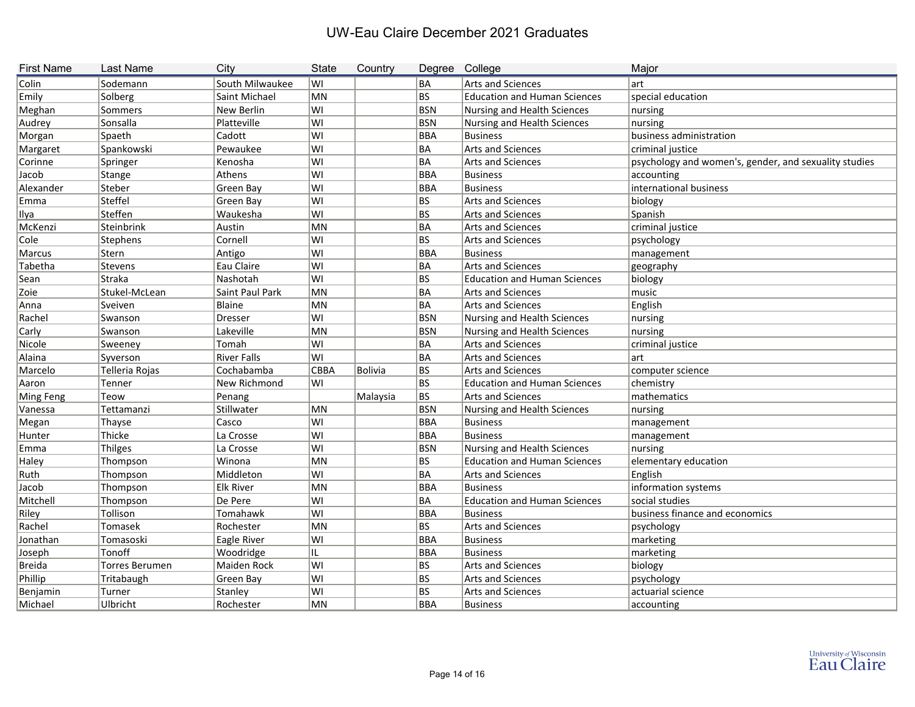| <b>First Name</b> | <b>Last Name</b> | City               | <b>State</b> | Country        | Degree     | College                             | Major                                                 |
|-------------------|------------------|--------------------|--------------|----------------|------------|-------------------------------------|-------------------------------------------------------|
| Colin             | Sodemann         | South Milwaukee    | lwı          |                | BA         | Arts and Sciences                   | lart                                                  |
| Emily             | Solberg          | Saint Michael      | MN           |                | BS.        | <b>Education and Human Sciences</b> | special education                                     |
| Meghan            | Sommers          | New Berlin         | lwı          |                | <b>BSN</b> | Nursing and Health Sciences         | nursing                                               |
| Audrey            | Sonsalla         | Platteville        | WI           |                | BSN        | Nursing and Health Sciences         | nursing                                               |
| Morgan            | Spaeth           | Cadott             | lwı          |                | BBA        | Business                            | business administration                               |
| Margaret          | Spankowski       | Pewaukee           | WI           |                | BA         | Arts and Sciences                   | criminal justice                                      |
| Corinne           | Springer         | Kenosha            | lwı          |                | BA         | <b>Arts and Sciences</b>            | psychology and women's, gender, and sexuality studies |
| Jacob             | Stange           | Athens             | lwı          |                | BBA        | <b>Business</b>                     | accounting                                            |
| Alexander         | Steber           | Green Bay          | lwı          |                | BBA        | Business                            | international business                                |
| Emma              | <b>Steffel</b>   | Green Bay          | WI           |                | BS         | Arts and Sciences                   | biology                                               |
| Ilya              | Steffen          | Waukesha           | WI           |                | BS         | Arts and Sciences                   | Spanish                                               |
| McKenzi           | Steinbrink       | Austin             | MN           |                | ∣BA        | <b>Arts and Sciences</b>            | criminal justice                                      |
| Cole              | <b>Stephens</b>  | Cornell            | lwı          |                | BS.        | Arts and Sciences                   | psychology                                            |
| Marcus            | Stern            | Antigo             | WI           |                | BBA        | Business                            | management                                            |
| Tabetha           | Stevens          | Eau Claire         | WI           |                | BA         | Arts and Sciences                   | geography                                             |
| Sean              | Straka           | Nashotah           | WI           |                | BS         | <b>Education and Human Sciences</b> | biology                                               |
| Zoie              | Stukel-McLean    | Saint Paul Park    | MN           |                | BA         | Arts and Sciences                   | $\vert$ music                                         |
| Anna              | Sveiven          | <b>Blaine</b>      | MN           |                | BA         | Arts and Sciences                   | English                                               |
| Rachel            | Swanson          | <b>Dresser</b>     | WI           |                | BSN        | Nursing and Health Sciences         | nursing                                               |
| Carly             | Swanson          | Lakeville          | <b>MN</b>    |                | BSN        | Nursing and Health Sciences         | nursing                                               |
| Nicole            | Sweeney          | Tomah              | WI           |                | BA         | Arts and Sciences                   | criminal justice                                      |
| Alaina            | Syverson         | <b>River Falls</b> | WI           |                | BA         | Arts and Sciences                   | lart                                                  |
| Marcelo           | Telleria Rojas   | Cochabamba         | <b>CBBA</b>  | <b>Bolivia</b> | BS         | Arts and Sciences                   | computer science                                      |
| Aaron             | Tenner           | New Richmond       | lwı          |                | BS         | <b>Education and Human Sciences</b> | chemistry                                             |
| Ming Feng         | Teow             | Penang             |              | Malaysia       | BS         | Arts and Sciences                   | mathematics                                           |
| Vanessa           | Tettamanzi       | Stillwater         | MN           |                | BSN        | Nursing and Health Sciences         | nursing                                               |
| Megan             | Thayse           | Casco              | lwı          |                | BBA        | <b>Business</b>                     | management                                            |
| Hunter            | Thicke           | La Crosse          | lwı          |                | BBA        | Business                            | management                                            |
| Emma              | <b>Thilges</b>   | La Crosse          | WI           |                | <b>BSN</b> | Nursing and Health Sciences         | nursing                                               |
| Haley             | Thompson         | Winona             | MN           |                | BS         | <b>Education and Human Sciences</b> | elementary education                                  |
| Ruth              | Thompson         | Middleton          | WI           |                | BA         | Arts and Sciences                   | English                                               |
| Jacob             | Thompson         | <b>Elk River</b>   | MN           |                | <b>BBA</b> | <b>Business</b>                     | information systems                                   |
| Mitchell          | Thompson         | De Pere            | WI           |                | BA         | <b>Education and Human Sciences</b> | social studies                                        |
| Riley             | Tollison         | Tomahawk           | WI           |                | <b>BBA</b> | <b>Business</b>                     | business finance and economics                        |
| Rachel            | Tomasek          | Rochester          | MN           |                | BS.        | Arts and Sciences                   | psychology                                            |
| Jonathan          | Tomasoski        | Eagle River        | WI           |                | <b>BBA</b> | <b>Business</b>                     | marketing                                             |
| Joseph            | Tonoff           | Woodridge          | IL.          |                | BBA        | Business                            | marketing                                             |
| Breida            | Torres Berumen   | Maiden Rock        | WI           |                | BS         | Arts and Sciences                   | biology                                               |
| Phillip           | Tritabaugh       | Green Bay          | WI           |                | BS         | Arts and Sciences                   | psychology                                            |
| Benjamin          | Turner           | Stanley            | WI           |                | BS         | Arts and Sciences                   | actuarial science                                     |
| Michael           | Ulbricht         | Rochester          | MN           |                | BBA        | <b>Business</b>                     | accounting                                            |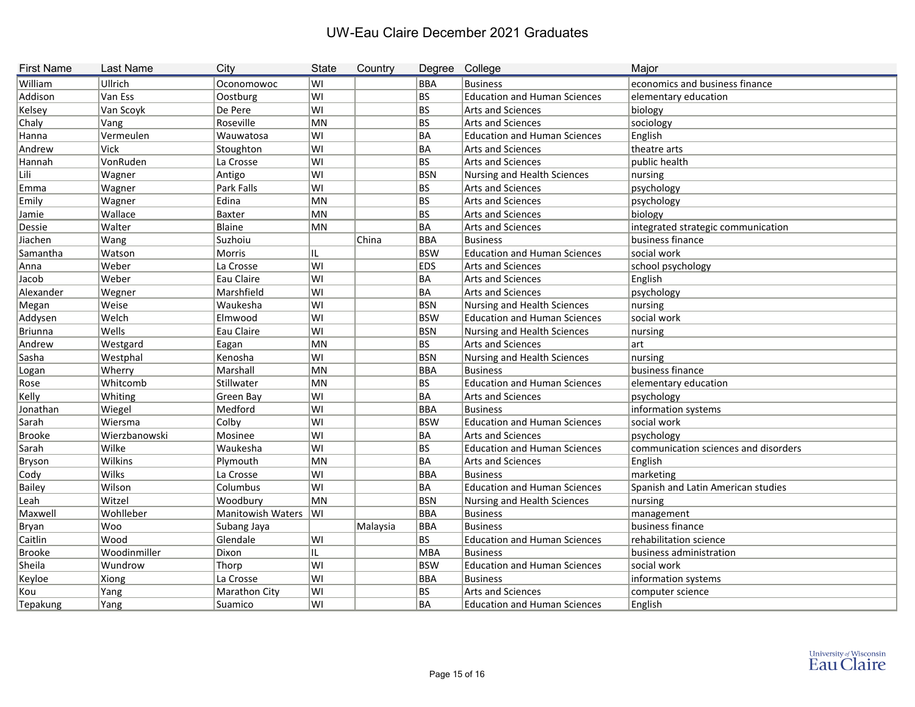| <b>First Name</b> | <b>Last Name</b> | City                   | <b>State</b> | Country  | Degree College |                                     | Major                                |
|-------------------|------------------|------------------------|--------------|----------|----------------|-------------------------------------|--------------------------------------|
| William           | Ullrich          | Oconomowoc             | lwı          |          | BBA            | <b>Business</b>                     | economics and business finance       |
| Addison           | Van Ess          | Oostburg               | lwı          |          | BS             | <b>Education and Human Sciences</b> | elementary education                 |
| Kelsey            | Van Scoyk        | De Pere                | lwı          |          | BS             | <b>Arts and Sciences</b>            | biology                              |
| Chaly             | Vang             | Roseville              | MN           |          | BS             | Arts and Sciences                   | sociology                            |
| Hanna             | Vermeulen        | Wauwatosa              | lwı          |          | BA             | <b>Education and Human Sciences</b> | English                              |
| Andrew            | <b>Vick</b>      | Stoughton              | lwı          |          | BA             | Arts and Sciences                   | theatre arts                         |
| Hannah            | VonRuden         | La Crosse              | lwı          |          | BS.            | Arts and Sciences                   | public health                        |
| Lili              | Wagner           | Antigo                 | lwı          |          | BSN            | Nursing and Health Sciences         | nursing                              |
| Emma              | Wagner           | Park Falls             | ∣WI          |          | BS             | <b>Arts and Sciences</b>            | psychology                           |
| Emily             | Wagner           | Edina                  | MN           |          | BS             | Arts and Sciences                   | psychology                           |
| Jamie             | Wallace          | Baxter                 | MN           |          | BS             | Arts and Sciences                   | biology                              |
| Dessie            | Walter           | Blaine                 | MN           |          | <b>BA</b>      | <b>Arts and Sciences</b>            | integrated strategic communication   |
| Jiachen           | Wang             | Suzhoiu                |              | China    | BBA            | Business                            | business finance                     |
| Samantha          | Watson           | Morris                 | IL           |          | <b>BSW</b>     | <b>Education and Human Sciences</b> | social work                          |
| Anna              | Weber            | La Crosse              | lwı          |          | <b>EDS</b>     | <b>Arts and Sciences</b>            | school psychology                    |
| Jacob             | Weber            | Eau Claire             | lwı          |          | ∣BA            | <b>Arts and Sciences</b>            | English                              |
| Alexander         | Wegner           | Marshfield             | lwı          |          | <b>BA</b>      | <b>Arts and Sciences</b>            | psychology                           |
| Megan             | Weise            | Waukesha               | lwı          |          | <b>BSN</b>     | Nursing and Health Sciences         | nursing                              |
| Addysen           | Welch            | Elmwood                | lwı          |          | <b>BSW</b>     | <b>Education and Human Sciences</b> | social work                          |
| <b>Briunna</b>    | Wells            | Eau Claire             | lwı          |          | <b>BSN</b>     | Nursing and Health Sciences         | nursing                              |
| Andrew            | Westgard         | Eagan                  | MN           |          | BS.            | <b>Arts and Sciences</b>            | art                                  |
| Sasha             | Westphal         | Kenosha                | lwı          |          | <b>BSN</b>     | Nursing and Health Sciences         | nursing                              |
| Logan             | Wherry           | Marshall               | MN           |          | BBA            | Business                            | business finance                     |
| Rose              | Whitcomb         | Stillwater             | MN           |          | BS             | <b>Education and Human Sciences</b> | elementary education                 |
| Kelly             | Whiting          | Green Bay              | lwı          |          | BA             | Arts and Sciences                   | psychology                           |
| Jonathan          | Wiegel           | Medford                | ∣WI          |          | <b>BBA</b>     | <b>Business</b>                     | information systems                  |
| Sarah             | Wiersma          | Colby                  | lwı          |          | <b>BSW</b>     | <b>Education and Human Sciences</b> | social work                          |
| <b>Brooke</b>     | Wierzbanowski    | Mosinee                | ∣WI          |          | ∣BA            | Arts and Sciences                   | psychology                           |
| Sarah             | Wilke            | Waukesha               | lwı          |          | BS             | <b>Education and Human Sciences</b> | communication sciences and disorders |
| <b>Bryson</b>     | Wilkins          | Plymouth               | MN           |          | BA             | <b>Arts and Sciences</b>            | English                              |
| Cody              | Wilks            | La Crosse              | lwı          |          | BBA            | Business                            | marketing                            |
| <b>Bailey</b>     | Wilson           | Columbus               | lwı          |          | BA             | <b>Education and Human Sciences</b> | Spanish and Latin American studies   |
| Leah              | Witzel           | Woodbury               | MN           |          | <b>BSN</b>     | Nursing and Health Sciences         | nursing                              |
| Maxwell           | Wohlleber        | Manitowish Waters   WI |              |          | BBA            | Business                            | management                           |
| <b>Bryan</b>      | Woo              | Subang Jaya            |              | Malaysia | BBA            | <b>Business</b>                     | business finance                     |
| Caitlin           | Wood             | Glendale               | lWI          |          | BS.            | <b>Education and Human Sciences</b> | rehabilitation science               |
| <b>Brooke</b>     | Woodinmiller     | Dixon                  | IL           |          | MBA            | Business                            | business administration              |
| Sheila            | Wundrow          | Thorp                  | lwı          |          | <b>BSW</b>     | <b>Education and Human Sciences</b> | social work                          |
| Keyloe            | <b>Xiong</b>     | La Crosse              | lwı          |          | BBA            | <b>Business</b>                     | information systems                  |
| Kou               | Yang             | Marathon City          | ∣WI          |          | BS             | Arts and Sciences                   | computer science                     |
| Tepakung          | Yang             | Suamico                | ∣WI          |          | BA             | <b>Education and Human Sciences</b> | English                              |